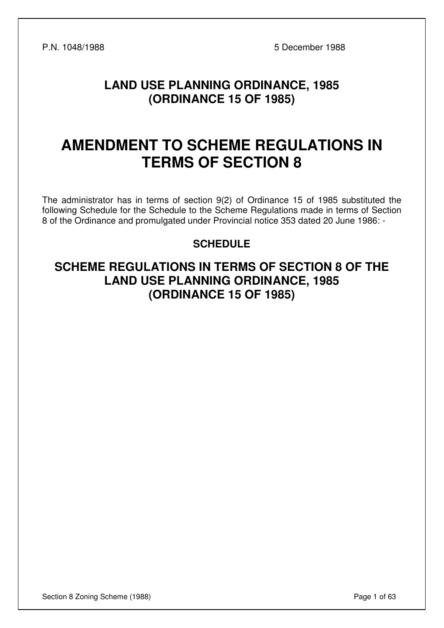P.N. 1048/1988 5 December 1988

# **LAND USE PLANNING ORDINANCE, 1985 (ORDINANCE 15 OF 1985)**

# **AMENDMENT TO SCHEME REGULATIONS IN TERMS OF SECTION 8**

The administrator has in terms of section 9(2) of Ordinance 15 of 1985 substituted the following Schedule for the Schedule to the Scheme Regulations made in terms of Section 8 of the Ordinance and promulgated under Provincial notice 353 dated 20 June 1986: -

### **SCHEDULE**

# **SCHEME REGULATIONS IN TERMS OF SECTION 8 OF THE LAND USE PLANNING ORDINANCE, 1985 (ORDINANCE 15 OF 1985)**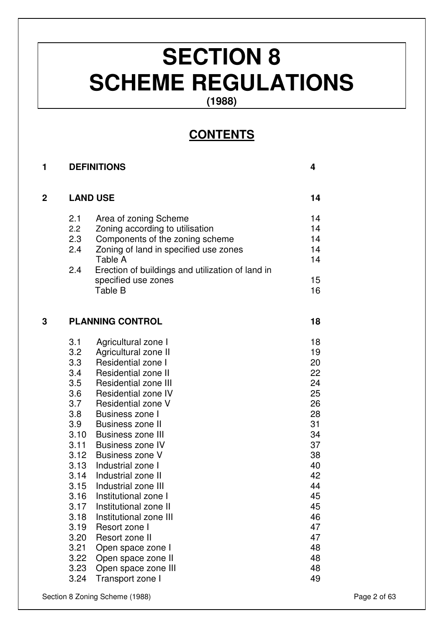# **SECTION 8 SCHEME REGULATIONS**

**(1988)** 

# **CONTENTS**

| 1 |      | <b>DEFINITIONS</b>                               | 4  |
|---|------|--------------------------------------------------|----|
| 2 |      | <b>LAND USE</b>                                  | 14 |
|   | 2.1  | Area of zoning Scheme                            | 14 |
|   | 2.2  | Zoning according to utilisation                  | 14 |
|   | 2.3  | Components of the zoning scheme                  | 14 |
|   | 2.4  | Zoning of land in specified use zones            | 14 |
|   |      | Table A                                          | 14 |
|   | 2.4  | Erection of buildings and utilization of land in |    |
|   |      | specified use zones                              | 15 |
|   |      | Table B                                          | 16 |
| 3 |      | <b>PLANNING CONTROL</b>                          | 18 |
|   | 3.1  | Agricultural zone I                              | 18 |
|   | 3.2  | Agricultural zone II                             | 19 |
|   | 3.3  | Residential zone I                               | 20 |
|   | 3.4  | <b>Residential zone II</b>                       | 22 |
|   | 3.5  | <b>Residential zone III</b>                      | 24 |
|   | 3.6  | Residential zone IV                              | 25 |
|   | 3.7  | Residential zone V                               | 26 |
|   | 3.8  | Business zone I                                  | 28 |
|   | 3.9  | <b>Business zone II</b>                          | 31 |
|   | 3.10 | <b>Business zone III</b>                         | 34 |
|   |      | 3.11 Business zone IV                            | 37 |
|   | 3.12 | Business zone V                                  | 38 |
|   | 3.13 | Industrial zone I                                | 40 |
|   | 3.14 | Industrial zone II                               | 42 |
|   | 3.15 | Industrial zone III                              | 44 |
|   | 3.16 | Institutional zone I                             | 45 |
|   | 3.17 | Institutional zone II                            | 45 |
|   | 3.18 | Institutional zone III                           | 46 |
|   | 3.19 | Resort zone I                                    | 47 |
|   | 3.20 | Resort zone II                                   | 47 |
|   | 3.21 | Open space zone I                                | 48 |
|   | 3.22 | Open space zone II                               | 48 |
|   | 3.23 | Open space zone III                              | 48 |
|   | 3.24 | Transport zone I                                 | 49 |

Section 8 Zoning Scheme (1988) **Page 2 of 63**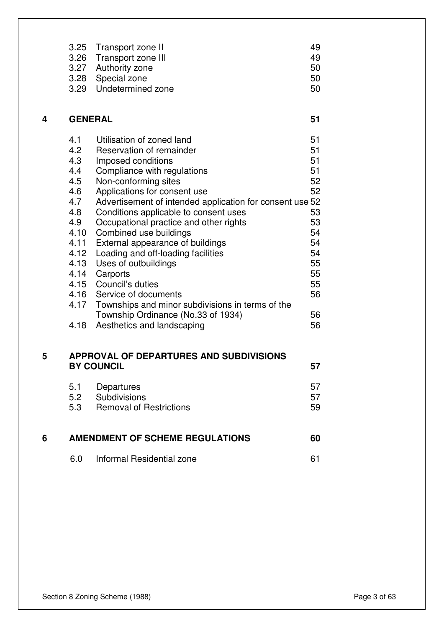| 3.25 Transport zone II  | 49. |
|-------------------------|-----|
| 3.26 Transport zone III | 49  |
| 3.27 Authority zone     | 50  |
| 3.28 Special zone       | 50  |
| 3.29 Undetermined zone  | 50  |

| 4 |      | <b>GENERAL</b>                                           | 51 |
|---|------|----------------------------------------------------------|----|
|   | 4.1  | Utilisation of zoned land                                | 51 |
|   | 4.2  | Reservation of remainder                                 | 51 |
|   | 4.3  | Imposed conditions                                       | 51 |
|   | 4.4  | Compliance with regulations                              | 51 |
|   | 4.5  | Non-conforming sites                                     | 52 |
|   | 4.6  | Applications for consent use                             | 52 |
|   | 4.7  | Advertisement of intended application for consent use 52 |    |
|   | 4.8  | Conditions applicable to consent uses                    | 53 |
|   | 4.9  | Occupational practice and other rights                   | 53 |
|   | 4.10 | Combined use buildings                                   | 54 |
|   | 4.11 | External appearance of buildings                         | 54 |
|   | 4.12 | Loading and off-loading facilities                       | 54 |
|   | 4.13 | Uses of outbuildings                                     | 55 |
|   | 4.14 | Carports                                                 | 55 |
|   | 4.15 | Council's duties                                         | 55 |
|   |      | 4.16 Service of documents                                | 56 |
|   | 4.17 | Townships and minor subdivisions in terms of the         |    |
|   |      | Township Ordinance (No.33 of 1934)                       | 56 |
|   | 4.18 | Aesthetics and landscaping                               | 56 |
|   |      |                                                          |    |

### **5 APPROVAL OF DEPARTURES AND SUBDIVISIONS BY COUNCIL** 57

| 5.1 Departures              | 57  |
|-----------------------------|-----|
| 5.2 Subdivisions            | .57 |
| 5.3 Removal of Restrictions | 59  |

| -6 | AMENDMENT OF SCHEME REGULATIONS | 60 |
|----|---------------------------------|----|
|    | Informal Residential zone       |    |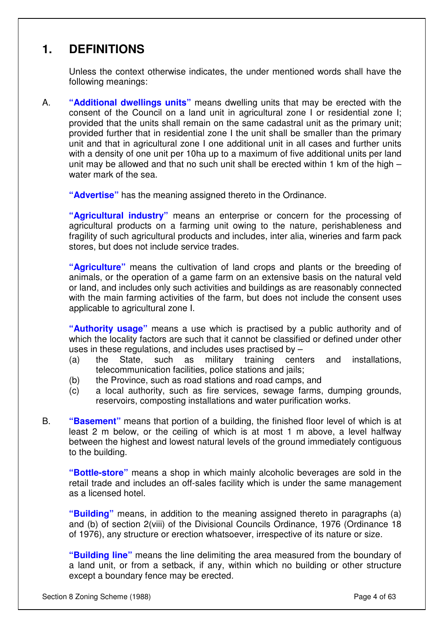# **1. DEFINITIONS**

Unless the context otherwise indicates, the under mentioned words shall have the following meanings:

A. **"Additional dwellings units"** means dwelling units that may be erected with the consent of the Council on a land unit in agricultural zone I or residential zone I; provided that the units shall remain on the same cadastral unit as the primary unit; provided further that in residential zone I the unit shall be smaller than the primary unit and that in agricultural zone I one additional unit in all cases and further units with a density of one unit per 10ha up to a maximum of five additional units per land unit may be allowed and that no such unit shall be erected within 1 km of the high – water mark of the sea.

**"Advertise"** has the meaning assigned thereto in the Ordinance.

**"Agricultural industry"** means an enterprise or concern for the processing of agricultural products on a farming unit owing to the nature, perishableness and fragility of such agricultural products and includes, inter alia, wineries and farm pack stores, but does not include service trades.

**"Agriculture"** means the cultivation of land crops and plants or the breeding of animals, or the operation of a game farm on an extensive basis on the natural veld or land, and includes only such activities and buildings as are reasonably connected with the main farming activities of the farm, but does not include the consent uses applicable to agricultural zone I.

**"Authority usage"** means a use which is practised by a public authority and of which the locality factors are such that it cannot be classified or defined under other uses in these regulations, and includes uses practised by –

- (a) the State, such as military training centers and installations, telecommunication facilities, police stations and jails;
- (b) the Province, such as road stations and road camps, and
- (c) a local authority, such as fire services, sewage farms, dumping grounds, reservoirs, composting installations and water purification works.
- B. **"Basement"** means that portion of a building, the finished floor level of which is at least 2 m below, or the ceiling of which is at most 1 m above, a level halfway between the highest and lowest natural levels of the ground immediately contiguous to the building.

**"Bottle-store"** means a shop in which mainly alcoholic beverages are sold in the retail trade and includes an off-sales facility which is under the same management as a licensed hotel.

**"Building"** means, in addition to the meaning assigned thereto in paragraphs (a) and (b) of section 2(viii) of the Divisional Councils Ordinance, 1976 (Ordinance 18 of 1976), any structure or erection whatsoever, irrespective of its nature or size.

**"Building line"** means the line delimiting the area measured from the boundary of a land unit, or from a setback, if any, within which no building or other structure except a boundary fence may be erected.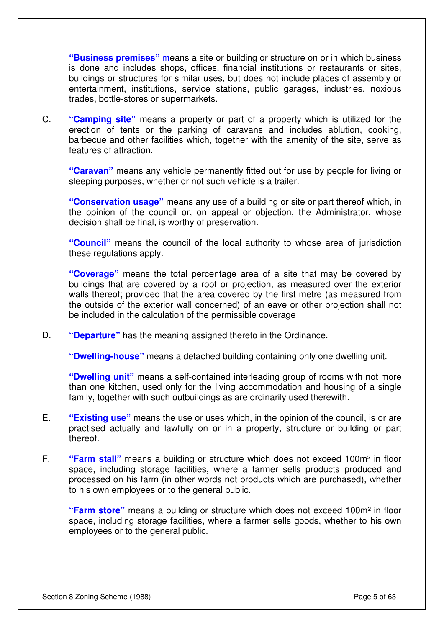**"Business premises"** means a site or building or structure on or in which business is done and includes shops, offices, financial institutions or restaurants or sites, buildings or structures for similar uses, but does not include places of assembly or entertainment, institutions, service stations, public garages, industries, noxious trades, bottle-stores or supermarkets.

C. **"Camping site"** means a property or part of a property which is utilized for the erection of tents or the parking of caravans and includes ablution, cooking, barbecue and other facilities which, together with the amenity of the site, serve as features of attraction.

**"Caravan"** means any vehicle permanently fitted out for use by people for living or sleeping purposes, whether or not such vehicle is a trailer.

**"Conservation usage"** means any use of a building or site or part thereof which, in the opinion of the council or, on appeal or objection, the Administrator, whose decision shall be final, is worthy of preservation.

**"Council"** means the council of the local authority to whose area of jurisdiction these regulations apply.

**"Coverage"** means the total percentage area of a site that may be covered by buildings that are covered by a roof or projection, as measured over the exterior walls thereof; provided that the area covered by the first metre (as measured from the outside of the exterior wall concerned) of an eave or other projection shall not be included in the calculation of the permissible coverage

D. **"Departure"** has the meaning assigned thereto in the Ordinance.

**"Dwelling-house"** means a detached building containing only one dwelling unit.

**"Dwelling unit"** means a self-contained interleading group of rooms with not more than one kitchen, used only for the living accommodation and housing of a single family, together with such outbuildings as are ordinarily used therewith.

- E. **"Existing use"** means the use or uses which, in the opinion of the council, is or are practised actually and lawfully on or in a property, structure or building or part thereof.
- F. **"Farm stall"** means a building or structure which does not exceed 100m² in floor space, including storage facilities, where a farmer sells products produced and processed on his farm (in other words not products which are purchased), whether to his own employees or to the general public.

**"Farm store"** means a building or structure which does not exceed 100m² in floor space, including storage facilities, where a farmer sells goods, whether to his own employees or to the general public.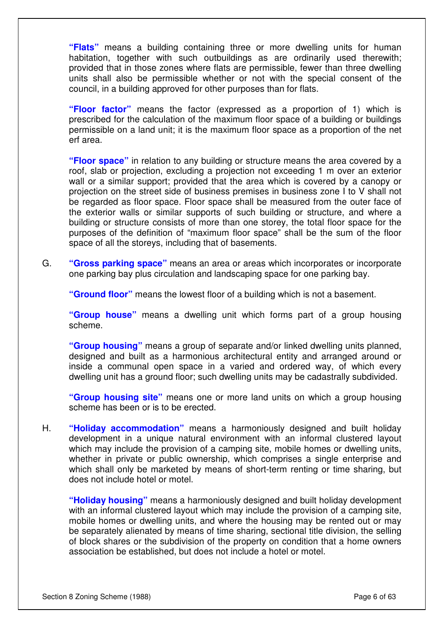**"Flats"** means a building containing three or more dwelling units for human habitation, together with such outbuildings as are ordinarily used therewith; provided that in those zones where flats are permissible, fewer than three dwelling units shall also be permissible whether or not with the special consent of the council, in a building approved for other purposes than for flats.

**"Floor factor"** means the factor (expressed as a proportion of 1) which is prescribed for the calculation of the maximum floor space of a building or buildings permissible on a land unit; it is the maximum floor space as a proportion of the net erf area.

**"Floor space"** in relation to any building or structure means the area covered by a roof, slab or projection, excluding a projection not exceeding 1 m over an exterior wall or a similar support; provided that the area which is covered by a canopy or projection on the street side of business premises in business zone I to V shall not be regarded as floor space. Floor space shall be measured from the outer face of the exterior walls or similar supports of such building or structure, and where a building or structure consists of more than one storey, the total floor space for the purposes of the definition of "maximum floor space" shall be the sum of the floor space of all the storeys, including that of basements.

G. **"Gross parking space"** means an area or areas which incorporates or incorporate one parking bay plus circulation and landscaping space for one parking bay.

**"Ground floor"** means the lowest floor of a building which is not a basement.

**"Group house"** means a dwelling unit which forms part of a group housing scheme.

**"Group housing"** means a group of separate and/or linked dwelling units planned, designed and built as a harmonious architectural entity and arranged around or inside a communal open space in a varied and ordered way, of which every dwelling unit has a ground floor; such dwelling units may be cadastrally subdivided.

**"Group housing site"** means one or more land units on which a group housing scheme has been or is to be erected.

H. **"Holiday accommodation"** means a harmoniously designed and built holiday development in a unique natural environment with an informal clustered layout which may include the provision of a camping site, mobile homes or dwelling units, whether in private or public ownership, which comprises a single enterprise and which shall only be marketed by means of short-term renting or time sharing, but does not include hotel or motel.

**"Holiday housing"** means a harmoniously designed and built holiday development with an informal clustered layout which may include the provision of a camping site, mobile homes or dwelling units, and where the housing may be rented out or may be separately alienated by means of time sharing, sectional title division, the selling of block shares or the subdivision of the property on condition that a home owners association be established, but does not include a hotel or motel.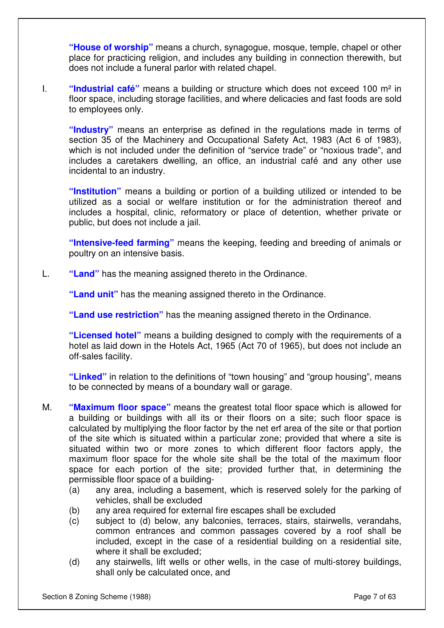**"House of worship"** means a church, synagogue, mosque, temple, chapel or other place for practicing religion, and includes any building in connection therewith, but does not include a funeral parlor with related chapel.

I. **"Industrial café"** means a building or structure which does not exceed 100 m² in floor space, including storage facilities, and where delicacies and fast foods are sold to employees only.

**"Industry"** means an enterprise as defined in the regulations made in terms of section 35 of the Machinery and Occupational Safety Act, 1983 (Act 6 of 1983), which is not included under the definition of "service trade" or "noxious trade", and includes a caretakers dwelling, an office, an industrial café and any other use incidental to an industry.

**"Institution"** means a building or portion of a building utilized or intended to be utilized as a social or welfare institution or for the administration thereof and includes a hospital, clinic, reformatory or place of detention, whether private or public, but does not include a jail.

**"Intensive-feed farming"** means the keeping, feeding and breeding of animals or poultry on an intensive basis.

L. **"Land"** has the meaning assigned thereto in the Ordinance.

**"Land unit"** has the meaning assigned thereto in the Ordinance.

**"Land use restriction"** has the meaning assigned thereto in the Ordinance.

**"Licensed hotel"** means a building designed to comply with the requirements of a hotel as laid down in the Hotels Act, 1965 (Act 70 of 1965), but does not include an off-sales facility.

**"Linked"** in relation to the definitions of "town housing" and "group housing", means to be connected by means of a boundary wall or garage.

- M. **"Maximum floor space"** means the greatest total floor space which is allowed for a building or buildings with all its or their floors on a site; such floor space is calculated by multiplying the floor factor by the net erf area of the site or that portion of the site which is situated within a particular zone; provided that where a site is situated within two or more zones to which different floor factors apply, the maximum floor space for the whole site shall be the total of the maximum floor space for each portion of the site; provided further that, in determining the permissible floor space of a building-
	- (a) any area, including a basement, which is reserved solely for the parking of vehicles, shall be excluded
	- (b) any area required for external fire escapes shall be excluded
	- (c) subject to (d) below, any balconies, terraces, stairs, stairwells, verandahs, common entrances and common passages covered by a roof shall be included, except in the case of a residential building on a residential site, where it shall be excluded;
	- (d) any stairwells, lift wells or other wells, in the case of multi-storey buildings, shall only be calculated once, and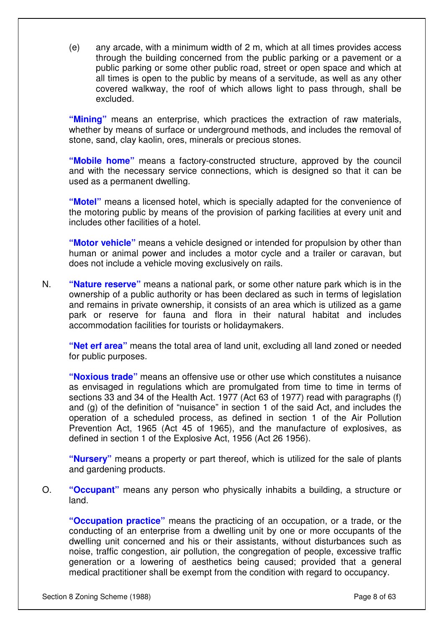(e) any arcade, with a minimum width of 2 m, which at all times provides access through the building concerned from the public parking or a pavement or a public parking or some other public road, street or open space and which at all times is open to the public by means of a servitude, as well as any other covered walkway, the roof of which allows light to pass through, shall be excluded.

**"Mining"** means an enterprise, which practices the extraction of raw materials, whether by means of surface or underground methods, and includes the removal of stone, sand, clay kaolin, ores, minerals or precious stones.

**"Mobile home"** means a factory-constructed structure, approved by the council and with the necessary service connections, which is designed so that it can be used as a permanent dwelling.

**"Motel"** means a licensed hotel, which is specially adapted for the convenience of the motoring public by means of the provision of parking facilities at every unit and includes other facilities of a hotel.

**"Motor vehicle"** means a vehicle designed or intended for propulsion by other than human or animal power and includes a motor cycle and a trailer or caravan, but does not include a vehicle moving exclusively on rails.

N. **"Nature reserve"** means a national park, or some other nature park which is in the ownership of a public authority or has been declared as such in terms of legislation and remains in private ownership, it consists of an area which is utilized as a game park or reserve for fauna and flora in their natural habitat and includes accommodation facilities for tourists or holidaymakers.

**"Net erf area"** means the total area of land unit, excluding all land zoned or needed for public purposes.

**"Noxious trade"** means an offensive use or other use which constitutes a nuisance as envisaged in regulations which are promulgated from time to time in terms of sections 33 and 34 of the Health Act. 1977 (Act 63 of 1977) read with paragraphs (f) and (g) of the definition of "nuisance" in section 1 of the said Act, and includes the operation of a scheduled process, as defined in section 1 of the Air Pollution Prevention Act, 1965 (Act 45 of 1965), and the manufacture of explosives, as defined in section 1 of the Explosive Act, 1956 (Act 26 1956).

**"Nursery"** means a property or part thereof, which is utilized for the sale of plants and gardening products.

O. **"Occupant"** means any person who physically inhabits a building, a structure or land.

**"Occupation practice"** means the practicing of an occupation, or a trade, or the conducting of an enterprise from a dwelling unit by one or more occupants of the dwelling unit concerned and his or their assistants, without disturbances such as noise, traffic congestion, air pollution, the congregation of people, excessive traffic generation or a lowering of aesthetics being caused; provided that a general medical practitioner shall be exempt from the condition with regard to occupancy.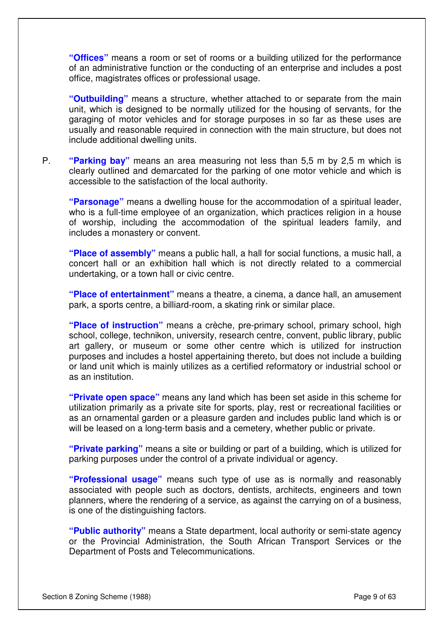**"Offices"** means a room or set of rooms or a building utilized for the performance of an administrative function or the conducting of an enterprise and includes a post office, magistrates offices or professional usage.

**"Outbuilding"** means a structure, whether attached to or separate from the main unit, which is designed to be normally utilized for the housing of servants, for the garaging of motor vehicles and for storage purposes in so far as these uses are usually and reasonable required in connection with the main structure, but does not include additional dwelling units.

P. **"Parking bay"** means an area measuring not less than 5,5 m by 2,5 m which is clearly outlined and demarcated for the parking of one motor vehicle and which is accessible to the satisfaction of the local authority.

**"Parsonage"** means a dwelling house for the accommodation of a spiritual leader, who is a full-time employee of an organization, which practices religion in a house of worship, including the accommodation of the spiritual leaders family, and includes a monastery or convent.

**"Place of assembly"** means a public hall, a hall for social functions, a music hall, a concert hall or an exhibition hall which is not directly related to a commercial undertaking, or a town hall or civic centre.

**"Place of entertainment"** means a theatre, a cinema, a dance hall, an amusement park, a sports centre, a billiard-room, a skating rink or similar place.

**"Place of instruction"** means a crèche, pre-primary school, primary school, high school, college, technikon, university, research centre, convent, public library, public art gallery, or museum or some other centre which is utilized for instruction purposes and includes a hostel appertaining thereto, but does not include a building or land unit which is mainly utilizes as a certified reformatory or industrial school or as an institution.

**"Private open space"** means any land which has been set aside in this scheme for utilization primarily as a private site for sports, play, rest or recreational facilities or as an ornamental garden or a pleasure garden and includes public land which is or will be leased on a long-term basis and a cemetery, whether public or private.

**"Private parking"** means a site or building or part of a building, which is utilized for parking purposes under the control of a private individual or agency.

**"Professional usage"** means such type of use as is normally and reasonably associated with people such as doctors, dentists, architects, engineers and town planners, where the rendering of a service, as against the carrying on of a business, is one of the distinguishing factors.

**"Public authority"** means a State department, local authority or semi-state agency or the Provincial Administration, the South African Transport Services or the Department of Posts and Telecommunications.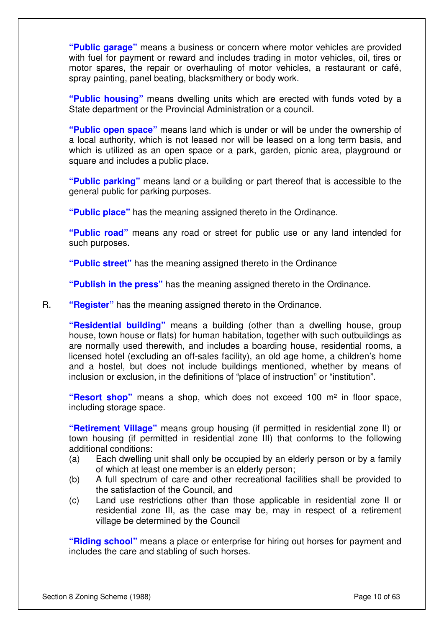**"Public garage"** means a business or concern where motor vehicles are provided with fuel for payment or reward and includes trading in motor vehicles, oil, tires or motor spares, the repair or overhauling of motor vehicles, a restaurant or café, spray painting, panel beating, blacksmithery or body work.

**"Public housing"** means dwelling units which are erected with funds voted by a State department or the Provincial Administration or a council.

**"Public open space"** means land which is under or will be under the ownership of a local authority, which is not leased nor will be leased on a long term basis, and which is utilized as an open space or a park, garden, picnic area, playground or square and includes a public place.

**"Public parking"** means land or a building or part thereof that is accessible to the general public for parking purposes.

**"Public place"** has the meaning assigned thereto in the Ordinance.

**"Public road"** means any road or street for public use or any land intended for such purposes.

**"Public street"** has the meaning assigned thereto in the Ordinance

**"Publish in the press"** has the meaning assigned thereto in the Ordinance.

R. **"Register"** has the meaning assigned thereto in the Ordinance.

**"Residential building"** means a building (other than a dwelling house, group house, town house or flats) for human habitation, together with such outbuildings as are normally used therewith, and includes a boarding house, residential rooms, a licensed hotel (excluding an off-sales facility), an old age home, a children's home and a hostel, but does not include buildings mentioned, whether by means of inclusion or exclusion, in the definitions of "place of instruction" or "institution".

**"Resort shop"** means a shop, which does not exceed 100 m² in floor space, including storage space.

**"Retirement Village"** means group housing (if permitted in residential zone II) or town housing (if permitted in residential zone III) that conforms to the following additional conditions:

- (a) Each dwelling unit shall only be occupied by an elderly person or by a family of which at least one member is an elderly person;
- (b) A full spectrum of care and other recreational facilities shall be provided to the satisfaction of the Council, and
- (c) Land use restrictions other than those applicable in residential zone II or residential zone III, as the case may be, may in respect of a retirement village be determined by the Council

**"Riding school"** means a place or enterprise for hiring out horses for payment and includes the care and stabling of such horses.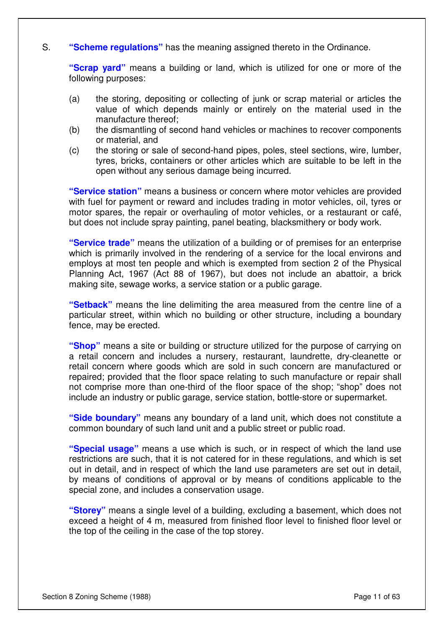#### S. **"Scheme regulations"** has the meaning assigned thereto in the Ordinance.

**"Scrap yard"** means a building or land, which is utilized for one or more of the following purposes:

- (a) the storing, depositing or collecting of junk or scrap material or articles the value of which depends mainly or entirely on the material used in the manufacture thereof;
- (b) the dismantling of second hand vehicles or machines to recover components or material, and
- (c) the storing or sale of second-hand pipes, poles, steel sections, wire, lumber, tyres, bricks, containers or other articles which are suitable to be left in the open without any serious damage being incurred.

**"Service station"** means a business or concern where motor vehicles are provided with fuel for payment or reward and includes trading in motor vehicles, oil, tyres or motor spares, the repair or overhauling of motor vehicles, or a restaurant or café, but does not include spray painting, panel beating, blacksmithery or body work.

**"Service trade"** means the utilization of a building or of premises for an enterprise which is primarily involved in the rendering of a service for the local environs and employs at most ten people and which is exempted from section 2 of the Physical Planning Act, 1967 (Act 88 of 1967), but does not include an abattoir, a brick making site, sewage works, a service station or a public garage.

**"Setback"** means the line delimiting the area measured from the centre line of a particular street, within which no building or other structure, including a boundary fence, may be erected.

**"Shop"** means a site or building or structure utilized for the purpose of carrying on a retail concern and includes a nursery, restaurant, laundrette, dry-cleanette or retail concern where goods which are sold in such concern are manufactured or repaired; provided that the floor space relating to such manufacture or repair shall not comprise more than one-third of the floor space of the shop; "shop" does not include an industry or public garage, service station, bottle-store or supermarket.

**"Side boundary"** means any boundary of a land unit, which does not constitute a common boundary of such land unit and a public street or public road.

**"Special usage"** means a use which is such, or in respect of which the land use restrictions are such, that it is not catered for in these regulations, and which is set out in detail, and in respect of which the land use parameters are set out in detail, by means of conditions of approval or by means of conditions applicable to the special zone, and includes a conservation usage.

**"Storey"** means a single level of a building, excluding a basement, which does not exceed a height of 4 m, measured from finished floor level to finished floor level or the top of the ceiling in the case of the top storey.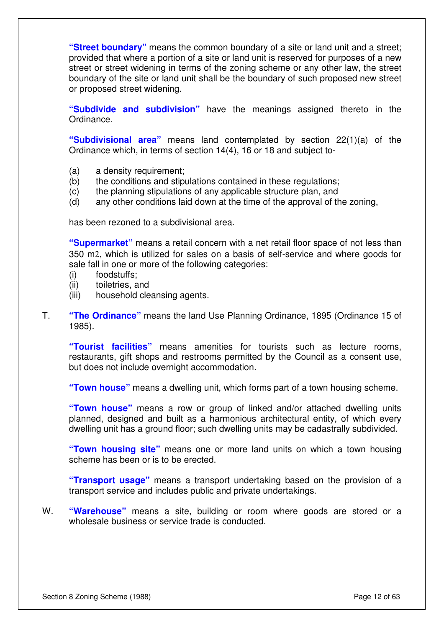**"Street boundary"** means the common boundary of a site or land unit and a street; provided that where a portion of a site or land unit is reserved for purposes of a new street or street widening in terms of the zoning scheme or any other law, the street boundary of the site or land unit shall be the boundary of such proposed new street or proposed street widening.

**"Subdivide and subdivision"** have the meanings assigned thereto in the Ordinance.

**"Subdivisional area"** means land contemplated by section 22(1)(a) of the Ordinance which, in terms of section 14(4), 16 or 18 and subject to-

- (a) a density requirement;
- (b) the conditions and stipulations contained in these regulations;
- (c) the planning stipulations of any applicable structure plan, and
- (d) any other conditions laid down at the time of the approval of the zoning,

has been rezoned to a subdivisional area.

**"Supermarket"** means a retail concern with a net retail floor space of not less than 350 m2, which is utilized for sales on a basis of self-service and where goods for sale fall in one or more of the following categories:

- (i) foodstuffs;
- (ii) toiletries, and
- (iii) household cleansing agents.
- T. **"The Ordinance"** means the land Use Planning Ordinance, 1895 (Ordinance 15 of 1985).

**"Tourist facilities"** means amenities for tourists such as lecture rooms, restaurants, gift shops and restrooms permitted by the Council as a consent use, but does not include overnight accommodation.

**"Town house"** means a dwelling unit, which forms part of a town housing scheme.

**"Town house"** means a row or group of linked and/or attached dwelling units planned, designed and built as a harmonious architectural entity, of which every dwelling unit has a ground floor; such dwelling units may be cadastrally subdivided.

**"Town housing site"** means one or more land units on which a town housing scheme has been or is to be erected.

**"Transport usage"** means a transport undertaking based on the provision of a transport service and includes public and private undertakings.

W. **"Warehouse"** means a site, building or room where goods are stored or a wholesale business or service trade is conducted.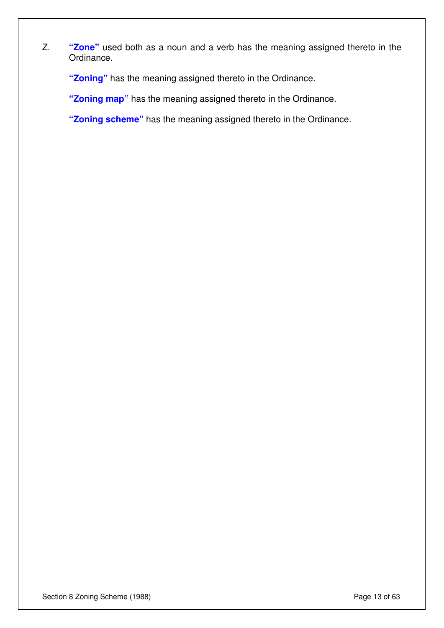Z. **"Zone"** used both as a noun and a verb has the meaning assigned thereto in the Ordinance.

**"Zoning"** has the meaning assigned thereto in the Ordinance.

**"Zoning map"** has the meaning assigned thereto in the Ordinance.

**"Zoning scheme"** has the meaning assigned thereto in the Ordinance.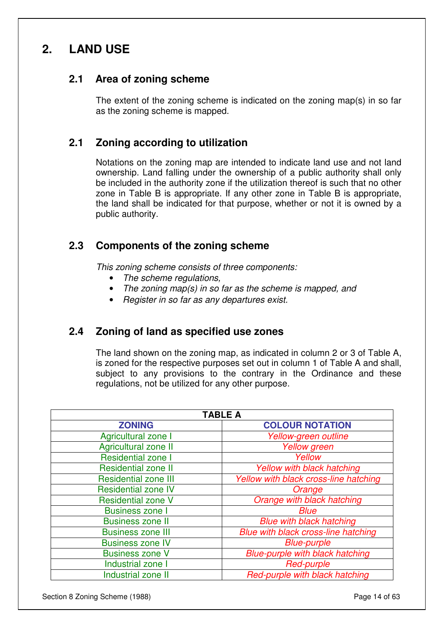# **2. LAND USE**

### **2.1 Area of zoning scheme**

The extent of the zoning scheme is indicated on the zoning map(s) in so far as the zoning scheme is mapped.

### **2.1 Zoning according to utilization**

Notations on the zoning map are intended to indicate land use and not land ownership. Land falling under the ownership of a public authority shall only be included in the authority zone if the utilization thereof is such that no other zone in Table B is appropriate. If any other zone in Table B is appropriate, the land shall be indicated for that purpose, whether or not it is owned by a public authority.

### **2.3 Components of the zoning scheme**

This zoning scheme consists of three components:

- The scheme requilations.
- The zoning map(s) in so far as the scheme is mapped, and
- Register in so far as any departures exist.

### **2.4 Zoning of land as specified use zones**

The land shown on the zoning map, as indicated in column 2 or 3 of Table A, is zoned for the respective purposes set out in column 1 of Table A and shall, subject to any provisions to the contrary in the Ordinance and these regulations, not be utilized for any other purpose.

| <b>TABLE A</b>              |                                        |  |
|-----------------------------|----------------------------------------|--|
| <b>ZONING</b>               | <b>COLOUR NOTATION</b>                 |  |
| Agricultural zone I         | Yellow-green outline                   |  |
| Agricultural zone II        | <b>Yellow</b> green                    |  |
| <b>Residential zone I</b>   | Yellow                                 |  |
| <b>Residential zone II</b>  | Yellow with black hatching             |  |
| <b>Residential zone III</b> | Yellow with black cross-line hatching  |  |
| <b>Residential zone IV</b>  | Orange                                 |  |
| <b>Residential zone V</b>   | Orange with black hatching             |  |
| <b>Business zone I</b>      | <b>Blue</b>                            |  |
| <b>Business zone II</b>     | <b>Blue with black hatching</b>        |  |
| <b>Business zone III</b>    | Blue with black cross-line hatching    |  |
| <b>Business zone IV</b>     | <b>Blue-purple</b>                     |  |
| <b>Business zone V</b>      | <b>Blue-purple with black hatching</b> |  |
| Industrial zone I           | <b>Red-purple</b>                      |  |
| <b>Industrial zone II</b>   | Red-purple with black hatching         |  |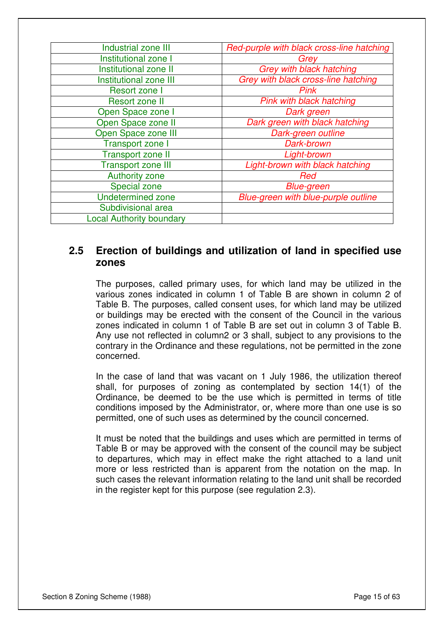| Industrial zone III             | Red-purple with black cross-line hatching |
|---------------------------------|-------------------------------------------|
| Institutional zone I            | Grey                                      |
| Institutional zone II           | <b>Grey with black hatching</b>           |
| Institutional zone III          | Grey with black cross-line hatching       |
| Resort zone I                   | <b>Pink</b>                               |
| <b>Resort zone II</b>           | Pink with black hatching                  |
| Open Space zone I               | Dark green                                |
| Open Space zone II              | Dark green with black hatching            |
| Open Space zone III             | Dark-green outline                        |
| <b>Transport zone I</b>         | Dark-brown                                |
| <b>Transport zone II</b>        | Light-brown                               |
| <b>Transport zone III</b>       | Light-brown with black hatching           |
| <b>Authority zone</b>           | Red                                       |
| Special zone                    | <b>Blue-green</b>                         |
| <b>Undetermined zone</b>        | Blue-green with blue-purple outline       |
| Subdivisional area              |                                           |
| <b>Local Authority boundary</b> |                                           |

### **2.5 Erection of buildings and utilization of land in specified use zones**

The purposes, called primary uses, for which land may be utilized in the various zones indicated in column 1 of Table B are shown in column 2 of Table B. The purposes, called consent uses, for which land may be utilized or buildings may be erected with the consent of the Council in the various zones indicated in column 1 of Table B are set out in column 3 of Table B. Any use not reflected in column2 or 3 shall, subject to any provisions to the contrary in the Ordinance and these regulations, not be permitted in the zone concerned.

In the case of land that was vacant on 1 July 1986, the utilization thereof shall, for purposes of zoning as contemplated by section 14(1) of the Ordinance, be deemed to be the use which is permitted in terms of title conditions imposed by the Administrator, or, where more than one use is so permitted, one of such uses as determined by the council concerned.

It must be noted that the buildings and uses which are permitted in terms of Table B or may be approved with the consent of the council may be subject to departures, which may in effect make the right attached to a land unit more or less restricted than is apparent from the notation on the map. In such cases the relevant information relating to the land unit shall be recorded in the register kept for this purpose (see regulation 2.3).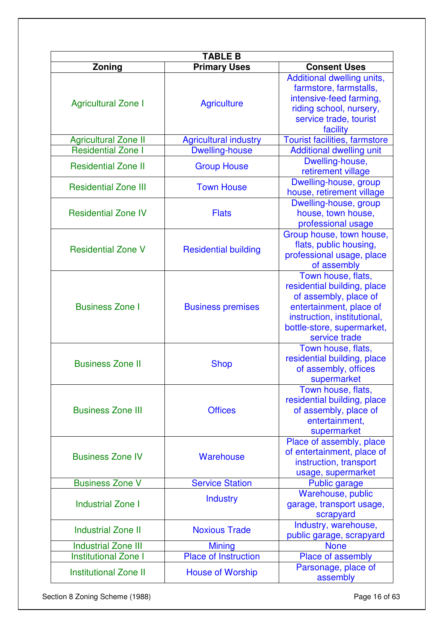| <b>TABLE B</b>               |                              |                                                                                                                                                                                     |  |  |
|------------------------------|------------------------------|-------------------------------------------------------------------------------------------------------------------------------------------------------------------------------------|--|--|
| Zoning                       | <b>Primary Uses</b>          | <b>Consent Uses</b>                                                                                                                                                                 |  |  |
| <b>Agricultural Zone I</b>   | <b>Agriculture</b>           | Additional dwelling units,<br>farmstore, farmstalls,<br>intensive-feed farming,<br>riding school, nursery,<br>service trade, tourist<br>facility                                    |  |  |
| <b>Agricultural Zone II</b>  | <b>Agricultural industry</b> | <b>Tourist facilities, farmstore</b>                                                                                                                                                |  |  |
| <b>Residential Zone I</b>    | <b>Dwelling-house</b>        | <b>Additional dwelling unit</b>                                                                                                                                                     |  |  |
| <b>Residential Zone II</b>   | <b>Group House</b>           | Dwelling-house,<br>retirement village                                                                                                                                               |  |  |
| <b>Residential Zone III</b>  | <b>Town House</b>            | Dwelling-house, group<br>house, retirement village                                                                                                                                  |  |  |
| <b>Residential Zone IV</b>   | <b>Flats</b>                 | Dwelling-house, group<br>house, town house,<br>professional usage                                                                                                                   |  |  |
| <b>Residential Zone V</b>    | <b>Residential building</b>  | Group house, town house,<br>flats, public housing,<br>professional usage, place<br>of assembly                                                                                      |  |  |
| <b>Business Zone I</b>       | <b>Business premises</b>     | Town house, flats,<br>residential building, place<br>of assembly, place of<br>entertainment, place of<br>instruction, institutional,<br>bottle-store, supermarket,<br>service trade |  |  |
| <b>Business Zone II</b>      | <b>Shop</b>                  | Town house, flats,<br>residential building, place<br>of assembly, offices<br>supermarket                                                                                            |  |  |
| <b>Business Zone III</b>     | <b>Offices</b>               | Town house, flats,<br>residential building, place<br>of assembly, place of<br>entertainment,<br>supermarket                                                                         |  |  |
| <b>Business Zone IV</b>      | Warehouse                    | Place of assembly, place<br>of entertainment, place of<br>instruction, transport<br>usage, supermarket                                                                              |  |  |
| <b>Business Zone V</b>       | <b>Service Station</b>       | <b>Public garage</b>                                                                                                                                                                |  |  |
| <b>Industrial Zone I</b>     | <b>Industry</b>              | Warehouse, public<br>garage, transport usage,<br>scrapyard                                                                                                                          |  |  |
| <b>Industrial Zone II</b>    | <b>Noxious Trade</b>         | Industry, warehouse,<br>public garage, scrapyard                                                                                                                                    |  |  |
| <b>Industrial Zone III</b>   | <b>Mining</b>                | <b>None</b>                                                                                                                                                                         |  |  |
| <b>Institutional Zone I</b>  | <b>Place of Instruction</b>  | Place of assembly                                                                                                                                                                   |  |  |
| <b>Institutional Zone II</b> | <b>House of Worship</b>      | Parsonage, place of<br>assembly                                                                                                                                                     |  |  |

Section 8 Zoning Scheme (1988) **Page 16 of 63**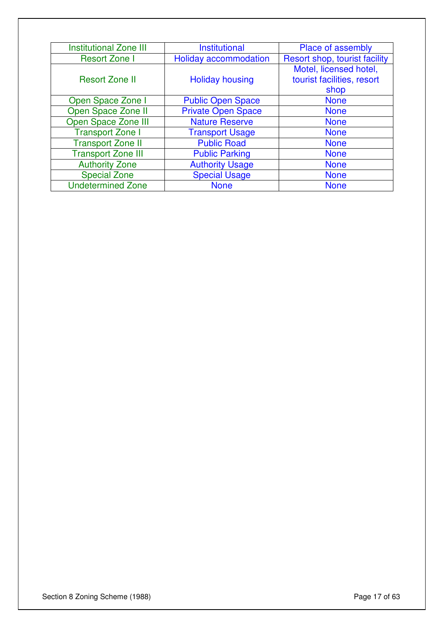| <b>Institutional Zone III</b> | <b>Institutional</b>      | Place of assembly             |
|-------------------------------|---------------------------|-------------------------------|
| <b>Resort Zone I</b>          | Holiday accommodation     | Resort shop, tourist facility |
|                               |                           | Motel, licensed hotel,        |
| <b>Resort Zone II</b>         | <b>Holiday housing</b>    | tourist facilities, resort    |
|                               |                           | shop                          |
| Open Space Zone I             | <b>Public Open Space</b>  | <b>None</b>                   |
| Open Space Zone II            | <b>Private Open Space</b> | <b>None</b>                   |
| Open Space Zone III           | <b>Nature Reserve</b>     | <b>None</b>                   |
| <b>Transport Zone I</b>       | <b>Transport Usage</b>    | <b>None</b>                   |
| <b>Transport Zone II</b>      | <b>Public Road</b>        | <b>None</b>                   |
| <b>Transport Zone III</b>     | <b>Public Parking</b>     | <b>None</b>                   |
| <b>Authority Zone</b>         | <b>Authority Usage</b>    | <b>None</b>                   |
| <b>Special Zone</b>           | <b>Special Usage</b>      | <b>None</b>                   |
| <b>Undetermined Zone</b>      | <b>None</b>               | <b>None</b>                   |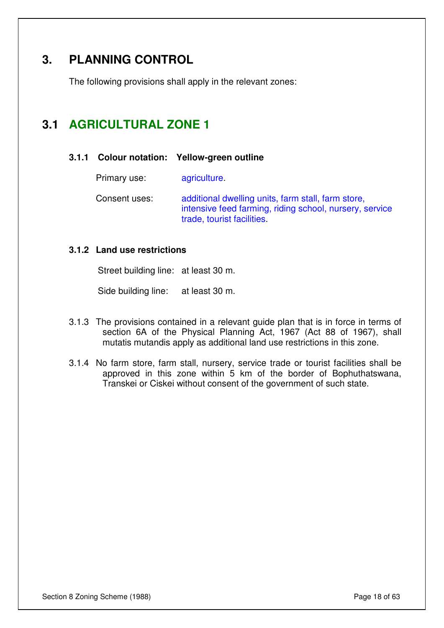# **3. PLANNING CONTROL**

The following provisions shall apply in the relevant zones:

# **3.1 AGRICULTURAL ZONE 1**

#### **3.1.1 Colour notation: Yellow-green outline**

Primary use: agriculture.

Consent uses: additional dwelling units, farm stall, farm store, intensive feed farming, riding school, nursery, service trade, tourist facilities.

#### **3.1.2 Land use restrictions**

Street building line: at least 30 m.

Side building line: at least 30 m.

- 3.1.3 The provisions contained in a relevant guide plan that is in force in terms of section 6A of the Physical Planning Act, 1967 (Act 88 of 1967), shall mutatis mutandis apply as additional land use restrictions in this zone.
- 3.1.4 No farm store, farm stall, nursery, service trade or tourist facilities shall be approved in this zone within 5 km of the border of Bophuthatswana, Transkei or Ciskei without consent of the government of such state.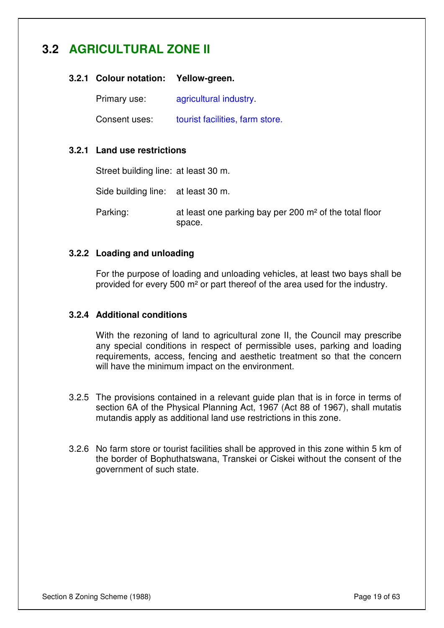# **3.2 AGRICULTURAL ZONE II**

#### **3.2.1 Colour notation: Yellow-green.**

Primary use: agricultural industry.

Consent uses: tourist facilities, farm store.

#### **3.2.1 Land use restrictions**

Street building line: at least 30 m.

Side building line: at least 30 m.

Parking: at least one parking bay per 200 m<sup>2</sup> of the total floor space.

#### **3.2.2 Loading and unloading**

For the purpose of loading and unloading vehicles, at least two bays shall be provided for every 500 m² or part thereof of the area used for the industry.

#### **3.2.4 Additional conditions**

With the rezoning of land to agricultural zone II, the Council may prescribe any special conditions in respect of permissible uses, parking and loading requirements, access, fencing and aesthetic treatment so that the concern will have the minimum impact on the environment.

- 3.2.5 The provisions contained in a relevant guide plan that is in force in terms of section 6A of the Physical Planning Act, 1967 (Act 88 of 1967), shall mutatis mutandis apply as additional land use restrictions in this zone.
- 3.2.6 No farm store or tourist facilities shall be approved in this zone within 5 km of the border of Bophuthatswana, Transkei or Ciskei without the consent of the government of such state.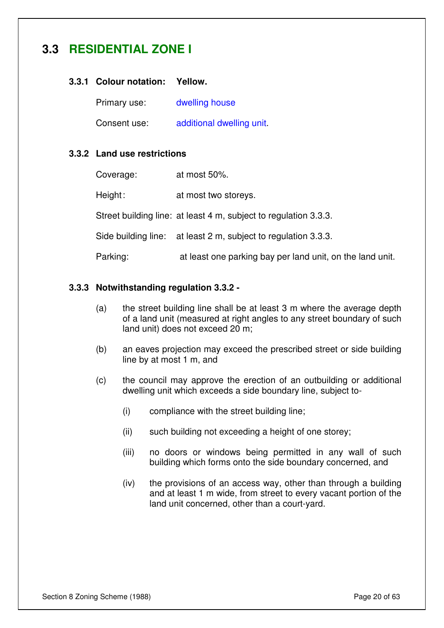# **3.3 RESIDENTIAL ZONE I**

#### **3.3.1 Colour notation: Yellow.**

Primary use: dwelling house

Consent use: additional dwelling unit.

#### **3.3.2 Land use restrictions**

| Coverage: | at most 50%.                                                     |
|-----------|------------------------------------------------------------------|
| Height:   | at most two storeys.                                             |
|           | Street building line: at least 4 m, subject to regulation 3.3.3. |
|           | Side building line: at least 2 m, subject to regulation 3.3.3.   |
| Parking:  | at least one parking bay per land unit, on the land unit.        |

#### **3.3.3 Notwithstanding regulation 3.3.2 -**

- (a) the street building line shall be at least 3 m where the average depth of a land unit (measured at right angles to any street boundary of such land unit) does not exceed 20 m;
- (b) an eaves projection may exceed the prescribed street or side building line by at most 1 m, and
- (c) the council may approve the erection of an outbuilding or additional dwelling unit which exceeds a side boundary line, subject to-
	- (i) compliance with the street building line;
	- (ii) such building not exceeding a height of one storey;
	- (iii) no doors or windows being permitted in any wall of such building which forms onto the side boundary concerned, and
	- (iv) the provisions of an access way, other than through a building and at least 1 m wide, from street to every vacant portion of the land unit concerned, other than a court-yard.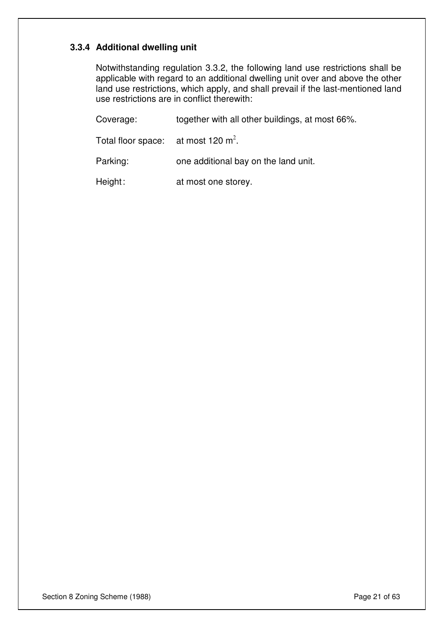#### **3.3.4 Additional dwelling unit**

Notwithstanding regulation 3.3.2, the following land use restrictions shall be applicable with regard to an additional dwelling unit over and above the other land use restrictions, which apply, and shall prevail if the last-mentioned land use restrictions are in conflict therewith:

Coverage: together with all other buildings, at most 66%. Total floor space: at most 120  $m^2$ . Parking: one additional bay on the land unit. Height: at most one storey.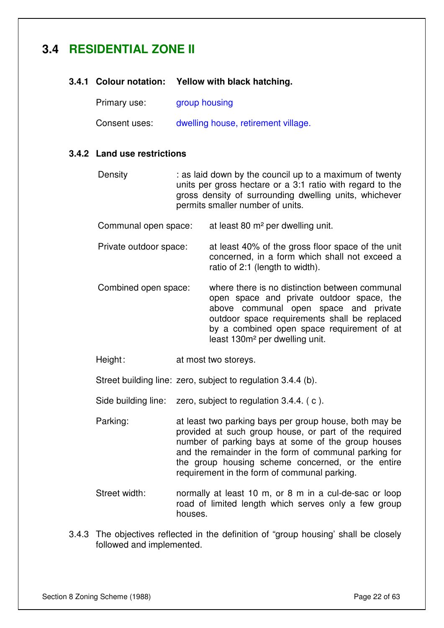# **3.4 RESIDENTIAL ZONE II**

|  |  |  | 3.4.1 Colour notation: Yellow with black hatching. |
|--|--|--|----------------------------------------------------|
|--|--|--|----------------------------------------------------|

| Primary use:  | group housing                       |
|---------------|-------------------------------------|
| Consent uses: | dwelling house, retirement village. |

#### **3.4.2 Land use restrictions**

- Density : as laid down by the council up to a maximum of twenty units per gross hectare or a 3:1 ratio with regard to the gross density of surrounding dwelling units, whichever permits smaller number of units.
- Communal open space: at least 80 m² per dwelling unit.
- Private outdoor space: at least 40% of the gross floor space of the unit concerned, in a form which shall not exceed a ratio of 2:1 (length to width).
- Combined open space: where there is no distinction between communal open space and private outdoor space, the above communal open space and private outdoor space requirements shall be replaced by a combined open space requirement of at least 130m² per dwelling unit.
- Height: at most two storeys.

Street building line: zero, subject to regulation 3.4.4 (b).

- Side building line: zero, subject to regulation 3.4.4. (c).
- Parking: at least two parking bays per group house, both may be provided at such group house, or part of the required number of parking bays at some of the group houses and the remainder in the form of communal parking for the group housing scheme concerned, or the entire requirement in the form of communal parking.
- Street width: normally at least 10 m, or 8 m in a cul-de-sac or loop road of limited length which serves only a few group houses.
- 3.4.3 The objectives reflected in the definition of "group housing' shall be closely followed and implemented.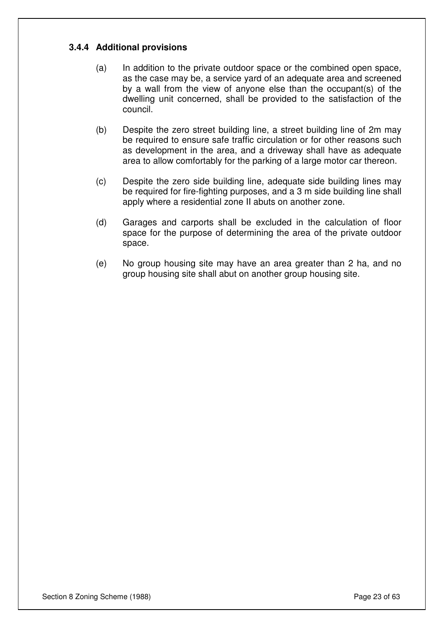#### **3.4.4 Additional provisions**

- (a) In addition to the private outdoor space or the combined open space, as the case may be, a service yard of an adequate area and screened by a wall from the view of anyone else than the occupant(s) of the dwelling unit concerned, shall be provided to the satisfaction of the council.
- (b) Despite the zero street building line, a street building line of 2m may be required to ensure safe traffic circulation or for other reasons such as development in the area, and a driveway shall have as adequate area to allow comfortably for the parking of a large motor car thereon.
- (c) Despite the zero side building line, adequate side building lines may be required for fire-fighting purposes, and a 3 m side building line shall apply where a residential zone II abuts on another zone.
- (d) Garages and carports shall be excluded in the calculation of floor space for the purpose of determining the area of the private outdoor space.
- (e) No group housing site may have an area greater than 2 ha, and no group housing site shall abut on another group housing site.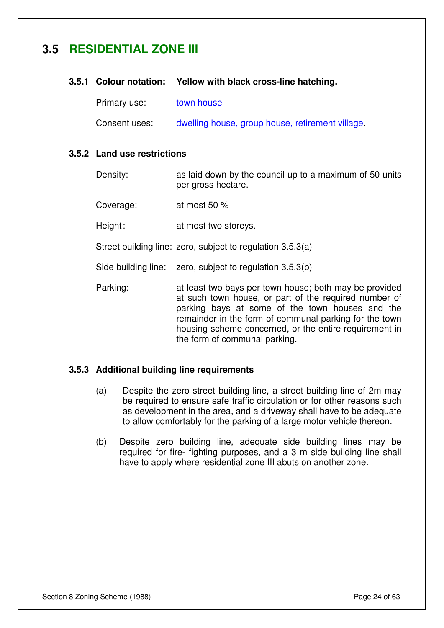# **3.5 RESIDENTIAL ZONE III**

#### **3.5.1 Colour notation: Yellow with black cross-line hatching.**

Primary use: town house

Consent uses: dwelling house, group house, retirement village.

#### **3.5.2 Land use restrictions**

Density: as laid down by the council up to a maximum of 50 units per gross hectare.

Coverage: at most 50 %

Height: at most two storeys.

Street building line: zero, subject to regulation 3.5.3(a)

Side building line: zero, subject to regulation 3.5.3(b)

Parking: at least two bays per town house; both may be provided at such town house, or part of the required number of parking bays at some of the town houses and the remainder in the form of communal parking for the town housing scheme concerned, or the entire requirement in the form of communal parking.

#### **3.5.3 Additional building line requirements**

- (a) Despite the zero street building line, a street building line of 2m may be required to ensure safe traffic circulation or for other reasons such as development in the area, and a driveway shall have to be adequate to allow comfortably for the parking of a large motor vehicle thereon.
- (b) Despite zero building line, adequate side building lines may be required for fire- fighting purposes, and a 3 m side building line shall have to apply where residential zone III abuts on another zone.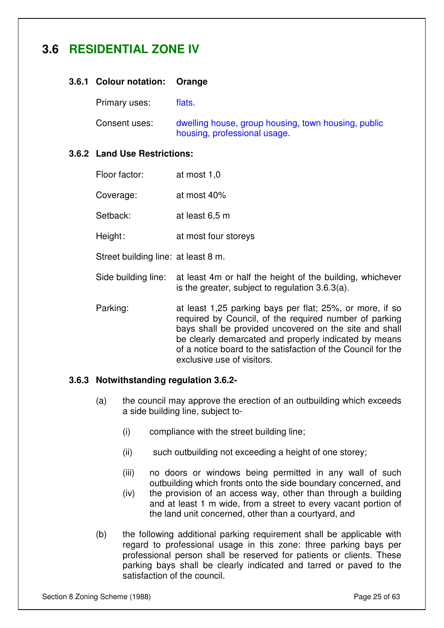# **3.6 RESIDENTIAL ZONE IV**

#### **3.6.1 Colour notation: Orange**

Primary uses: flats.

Consent uses: dwelling house, group housing, town housing, public housing, professional usage.

#### **3.6.2 Land Use Restrictions:**

| Floor factor: | at most 1,0 |
|---------------|-------------|
| Coverage:     | at most 40% |

Setback: at least 6,5 m

Height: at most four storeys

Street building line: at least 8 m.

- Side building line: at least 4m or half the height of the building, whichever is the greater, subject to regulation 3.6.3(a).
- Parking: at least 1,25 parking bays per flat; 25%, or more, if so required by Council, of the required number of parking bays shall be provided uncovered on the site and shall be clearly demarcated and properly indicated by means of a notice board to the satisfaction of the Council for the exclusive use of visitors.

#### **3.6.3 Notwithstanding regulation 3.6.2-**

- (a) the council may approve the erection of an outbuilding which exceeds a side building line, subject to-
	- (i) compliance with the street building line;
	- (ii) such outbuilding not exceeding a height of one storey;
	- (iii) no doors or windows being permitted in any wall of such outbuilding which fronts onto the side boundary concerned, and
	- (iv) the provision of an access way, other than through a building and at least 1 m wide, from a street to every vacant portion of the land unit concerned, other than a courtyard, and
- (b) the following additional parking requirement shall be applicable with regard to professional usage in this zone: three parking bays per professional person shall be reserved for patients or clients. These parking bays shall be clearly indicated and tarred or paved to the satisfaction of the council.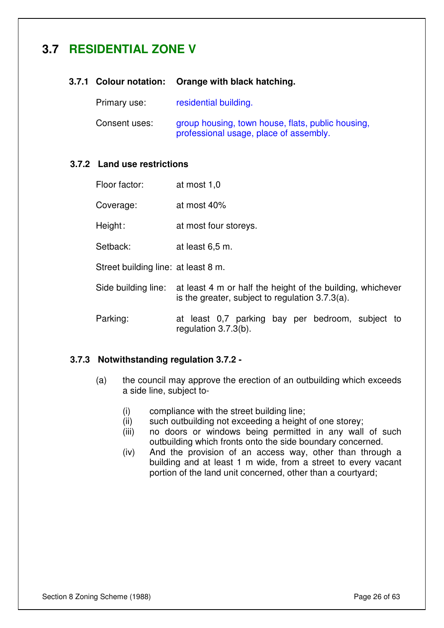# **3.7 RESIDENTIAL ZONE V**

#### **3.7.1 Colour notation: Orange with black hatching.**

Primary use: residential building.

Consent uses: group housing, town house, flats, public housing, professional usage, place of assembly.

#### **3.7.2 Land use restrictions**

| Floor factor:                       | at most 1,0                                                                                                      |  |
|-------------------------------------|------------------------------------------------------------------------------------------------------------------|--|
| Coverage:                           | at most 40%                                                                                                      |  |
| Height:                             | at most four storeys.                                                                                            |  |
| Setback:                            | at least 6,5 m.                                                                                                  |  |
| Street building line: at least 8 m. |                                                                                                                  |  |
| Side building line:                 | at least 4 m or half the height of the building, whichever<br>is the greater, subject to regulation $3.7.3(a)$ . |  |
| Parking:                            | at least 0,7 parking bay per bedroom, subject to<br>regulation $3.7.3(b)$ .                                      |  |

#### **3.7.3 Notwithstanding regulation 3.7.2 -**

- (a) the council may approve the erection of an outbuilding which exceeds a side line, subject to-
	- (i) compliance with the street building line;
	- (ii) such outbuilding not exceeding a height of one storey;
	- (iii) no doors or windows being permitted in any wall of such outbuilding which fronts onto the side boundary concerned.
	- (iv) And the provision of an access way, other than through a building and at least 1 m wide, from a street to every vacant portion of the land unit concerned, other than a courtyard;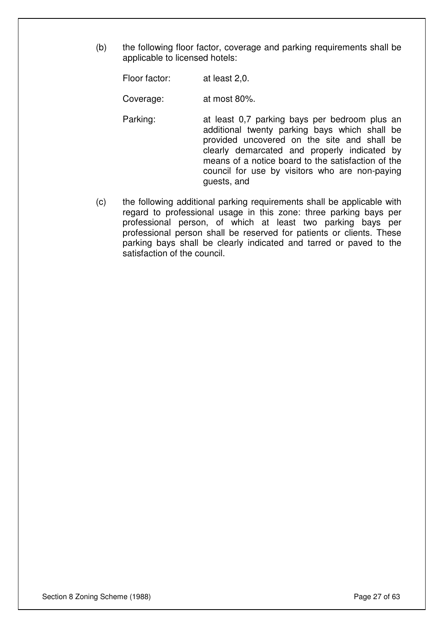(b) the following floor factor, coverage and parking requirements shall be applicable to licensed hotels:

Floor factor: at least 2,0.

Coverage: at most 80%.

- Parking: at least 0,7 parking bays per bedroom plus an additional twenty parking bays which shall be provided uncovered on the site and shall be clearly demarcated and properly indicated by means of a notice board to the satisfaction of the council for use by visitors who are non-paying guests, and
- (c) the following additional parking requirements shall be applicable with regard to professional usage in this zone: three parking bays per professional person, of which at least two parking bays per professional person shall be reserved for patients or clients. These parking bays shall be clearly indicated and tarred or paved to the satisfaction of the council.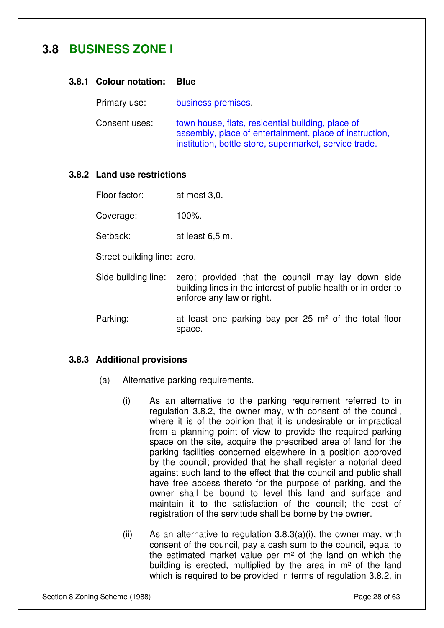# **3.8 BUSINESS ZONE I**

#### **3.8.1 Colour notation: Blue**

Primary use: business premises.

Consent uses: town house, flats, residential building, place of assembly, place of entertainment, place of instruction, institution, bottle-store, supermarket, service trade.

#### **3.8.2 Land use restrictions**

Floor factor: at most 3,0.

Coverage: 100%.

Setback: at least 6.5 m.

Street building line: zero.

- Side building line: zero; provided that the council may lay down side building lines in the interest of public health or in order to enforce any law or right.
- Parking: at least one parking bay per 25 m<sup>2</sup> of the total floor space.

#### **3.8.3 Additional provisions**

- (a) Alternative parking requirements.
	- (i) As an alternative to the parking requirement referred to in regulation 3.8.2, the owner may, with consent of the council, where it is of the opinion that it is undesirable or impractical from a planning point of view to provide the required parking space on the site, acquire the prescribed area of land for the parking facilities concerned elsewhere in a position approved by the council; provided that he shall register a notorial deed against such land to the effect that the council and public shall have free access thereto for the purpose of parking, and the owner shall be bound to level this land and surface and maintain it to the satisfaction of the council; the cost of registration of the servitude shall be borne by the owner.
	- (ii) As an alternative to regulation  $3.8.3(a)(i)$ , the owner may, with consent of the council, pay a cash sum to the council, equal to the estimated market value per m² of the land on which the building is erected, multiplied by the area in m² of the land which is required to be provided in terms of regulation 3.8.2, in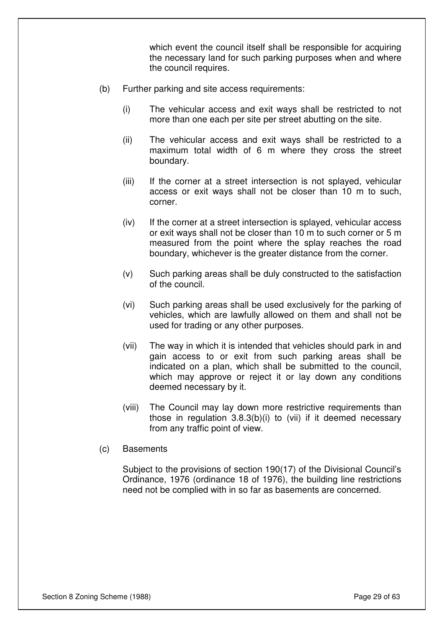which event the council itself shall be responsible for acquiring the necessary land for such parking purposes when and where the council requires.

- (b) Further parking and site access requirements:
	- (i) The vehicular access and exit ways shall be restricted to not more than one each per site per street abutting on the site.
	- (ii) The vehicular access and exit ways shall be restricted to a maximum total width of 6 m where they cross the street boundary.
	- (iii) If the corner at a street intersection is not splayed, vehicular access or exit ways shall not be closer than 10 m to such, corner.
	- (iv) If the corner at a street intersection is splayed, vehicular access or exit ways shall not be closer than 10 m to such corner or 5 m measured from the point where the splay reaches the road boundary, whichever is the greater distance from the corner.
	- (v) Such parking areas shall be duly constructed to the satisfaction of the council.
	- (vi) Such parking areas shall be used exclusively for the parking of vehicles, which are lawfully allowed on them and shall not be used for trading or any other purposes.
	- (vii) The way in which it is intended that vehicles should park in and gain access to or exit from such parking areas shall be indicated on a plan, which shall be submitted to the council, which may approve or reject it or lay down any conditions deemed necessary by it.
	- (viii) The Council may lay down more restrictive requirements than those in regulation 3.8.3(b)(i) to (vii) if it deemed necessary from any traffic point of view.
- (c) Basements

Subject to the provisions of section 190(17) of the Divisional Council's Ordinance, 1976 (ordinance 18 of 1976), the building line restrictions need not be complied with in so far as basements are concerned.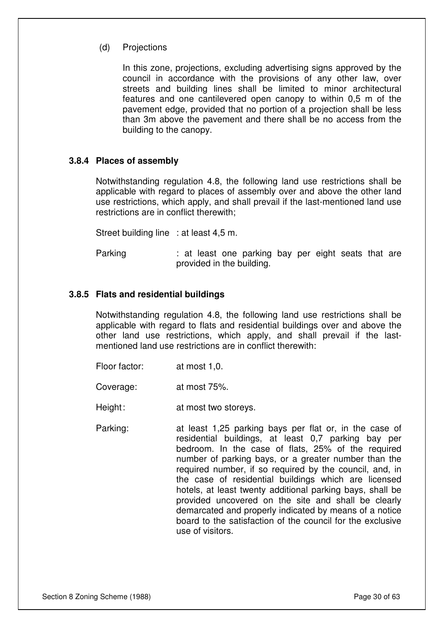#### (d) Projections

In this zone, projections, excluding advertising signs approved by the council in accordance with the provisions of any other law, over streets and building lines shall be limited to minor architectural features and one cantilevered open canopy to within 0,5 m of the pavement edge, provided that no portion of a projection shall be less than 3m above the pavement and there shall be no access from the building to the canopy.

#### **3.8.4 Places of assembly**

Notwithstanding regulation 4.8, the following land use restrictions shall be applicable with regard to places of assembly over and above the other land use restrictions, which apply, and shall prevail if the last-mentioned land use restrictions are in conflict therewith;

Street building line : at least 4,5 m.

Parking : at least one parking bay per eight seats that are provided in the building.

#### **3.8.5 Flats and residential buildings**

Notwithstanding regulation 4.8, the following land use restrictions shall be applicable with regard to flats and residential buildings over and above the other land use restrictions, which apply, and shall prevail if the lastmentioned land use restrictions are in conflict therewith:

Floor factor: at most 1,0.

Coverage: at most 75%.

Height: at most two storeys.

Parking: at least 1,25 parking bays per flat or, in the case of residential buildings, at least 0,7 parking bay per bedroom. In the case of flats, 25% of the required number of parking bays, or a greater number than the required number, if so required by the council, and, in the case of residential buildings which are licensed hotels, at least twenty additional parking bays, shall be provided uncovered on the site and shall be clearly demarcated and properly indicated by means of a notice board to the satisfaction of the council for the exclusive use of visitors.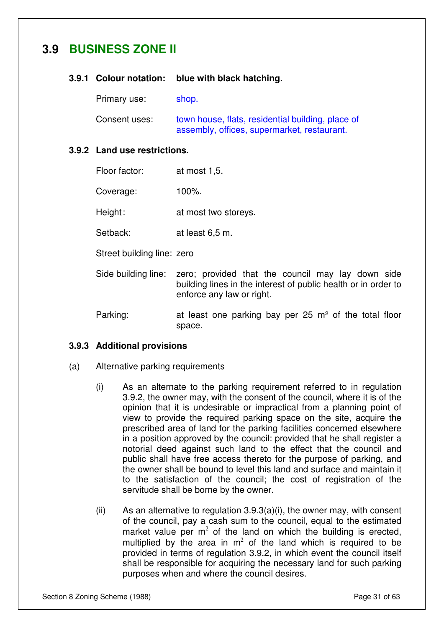# **3.9 BUSINESS ZONE II**

#### **3.9.1 Colour notation: blue with black hatching.**

Primary use: shop.

Consent uses: town house, flats, residential building, place of assembly, offices, supermarket, restaurant.

#### **3.9.2 Land use restrictions.**

| Floor factor: | at most 1,5. |
|---------------|--------------|
|               |              |

Coverage: 100%.

Height: at most two storeys.

- Setback: at least 6,5 m.
- Street building line: zero
- Side building line: zero; provided that the council may lay down side building lines in the interest of public health or in order to enforce any law or right.
- Parking: at least one parking bay per 25 m<sup>2</sup> of the total floor space.

#### **3.9.3 Additional provisions**

- (a) Alternative parking requirements
	- (i) As an alternate to the parking requirement referred to in regulation 3.9.2, the owner may, with the consent of the council, where it is of the opinion that it is undesirable or impractical from a planning point of view to provide the required parking space on the site, acquire the prescribed area of land for the parking facilities concerned elsewhere in a position approved by the council: provided that he shall register a notorial deed against such land to the effect that the council and public shall have free access thereto for the purpose of parking, and the owner shall be bound to level this land and surface and maintain it to the satisfaction of the council; the cost of registration of the servitude shall be borne by the owner.
	- (ii) As an alternative to regulation  $3.9.3(a)(i)$ , the owner may, with consent of the council, pay a cash sum to the council, equal to the estimated market value per  $m^2$  of the land on which the building is erected, multiplied by the area in  $m^2$  of the land which is required to be provided in terms of regulation 3.9.2, in which event the council itself shall be responsible for acquiring the necessary land for such parking purposes when and where the council desires.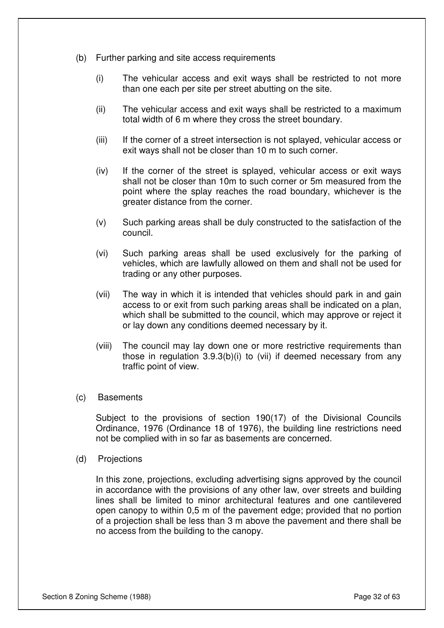- (b) Further parking and site access requirements
	- (i) The vehicular access and exit ways shall be restricted to not more than one each per site per street abutting on the site.
	- (ii) The vehicular access and exit ways shall be restricted to a maximum total width of 6 m where they cross the street boundary.
	- (iii) If the corner of a street intersection is not splayed, vehicular access or exit ways shall not be closer than 10 m to such corner.
	- (iv) If the corner of the street is splayed, vehicular access or exit ways shall not be closer than 10m to such corner or 5m measured from the point where the splay reaches the road boundary, whichever is the greater distance from the corner.
	- (v) Such parking areas shall be duly constructed to the satisfaction of the council.
	- (vi) Such parking areas shall be used exclusively for the parking of vehicles, which are lawfully allowed on them and shall not be used for trading or any other purposes.
	- (vii) The way in which it is intended that vehicles should park in and gain access to or exit from such parking areas shall be indicated on a plan, which shall be submitted to the council, which may approve or reject it or lay down any conditions deemed necessary by it.
	- (viii) The council may lay down one or more restrictive requirements than those in regulation 3.9.3(b)(i) to (vii) if deemed necessary from any traffic point of view.
- (c) Basements

Subject to the provisions of section 190(17) of the Divisional Councils Ordinance, 1976 (Ordinance 18 of 1976), the building line restrictions need not be complied with in so far as basements are concerned.

(d) Projections

In this zone, projections, excluding advertising signs approved by the council in accordance with the provisions of any other law, over streets and building lines shall be limited to minor architectural features and one cantilevered open canopy to within 0,5 m of the pavement edge; provided that no portion of a projection shall be less than 3 m above the pavement and there shall be no access from the building to the canopy.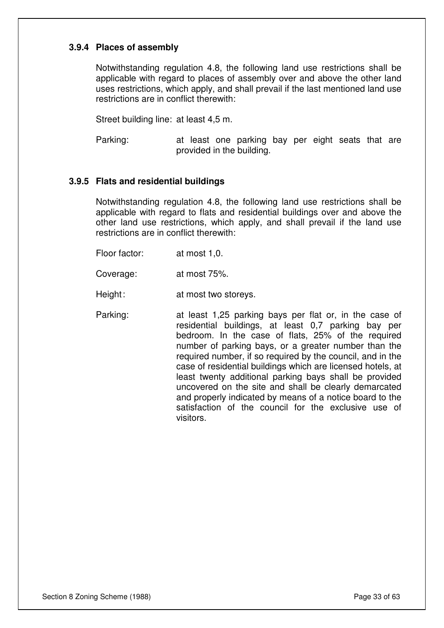#### **3.9.4 Places of assembly**

Notwithstanding regulation 4.8, the following land use restrictions shall be applicable with regard to places of assembly over and above the other land uses restrictions, which apply, and shall prevail if the last mentioned land use restrictions are in conflict therewith:

Street building line: at least 4,5 m.

Parking: at least one parking bay per eight seats that are provided in the building.

#### **3.9.5 Flats and residential buildings**

Notwithstanding regulation 4.8, the following land use restrictions shall be applicable with regard to flats and residential buildings over and above the other land use restrictions, which apply, and shall prevail if the land use restrictions are in conflict therewith:

Floor factor: at most 1,0.

Coverage: at most 75%.

Height: at most two storeys.

Parking: at least 1,25 parking bays per flat or, in the case of residential buildings, at least 0,7 parking bay per bedroom. In the case of flats, 25% of the required number of parking bays, or a greater number than the required number, if so required by the council, and in the case of residential buildings which are licensed hotels, at least twenty additional parking bays shall be provided uncovered on the site and shall be clearly demarcated and properly indicated by means of a notice board to the satisfaction of the council for the exclusive use of visitors.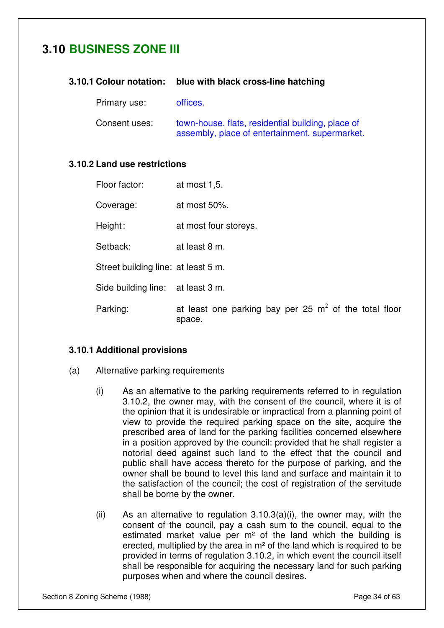# **3.10 BUSINESS ZONE III**

#### **3.10.1 Colour notation: blue with black cross-line hatching**

Primary use: offices.

Consent uses: town-house, flats, residential building, place of assembly, place of entertainment, supermarket.

#### **3.10.2 Land use restrictions**

| Floor factor:                       | at most 1,5.                                                      |
|-------------------------------------|-------------------------------------------------------------------|
| Coverage:                           | at most $50\%$ .                                                  |
| Height:                             | at most four storeys.                                             |
| Setback:                            | at least 8 m.                                                     |
| Street building line: at least 5 m. |                                                                   |
| Side building line: at least 3 m.   |                                                                   |
| Parking:                            | at least one parking bay per 25 $m2$ of the total floor<br>space. |

#### **3.10.1 Additional provisions**

- (a) Alternative parking requirements
	- (i) As an alternative to the parking requirements referred to in regulation 3.10.2, the owner may, with the consent of the council, where it is of the opinion that it is undesirable or impractical from a planning point of view to provide the required parking space on the site, acquire the prescribed area of land for the parking facilities concerned elsewhere in a position approved by the council: provided that he shall register a notorial deed against such land to the effect that the council and public shall have access thereto for the purpose of parking, and the owner shall be bound to level this land and surface and maintain it to the satisfaction of the council; the cost of registration of the servitude shall be borne by the owner.
	- (ii) As an alternative to regulation  $3.10.3(a)(i)$ , the owner may, with the consent of the council, pay a cash sum to the council, equal to the estimated market value per  $m<sup>2</sup>$  of the land which the building is erected, multiplied by the area in m² of the land which is required to be provided in terms of regulation 3.10.2, in which event the council itself shall be responsible for acquiring the necessary land for such parking purposes when and where the council desires.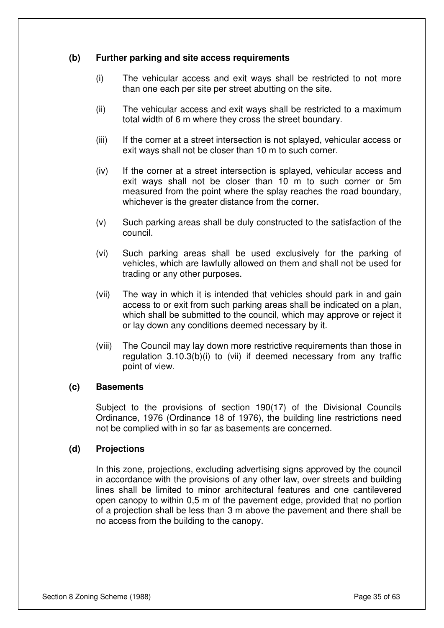#### **(b) Further parking and site access requirements**

- (i) The vehicular access and exit ways shall be restricted to not more than one each per site per street abutting on the site.
- (ii) The vehicular access and exit ways shall be restricted to a maximum total width of 6 m where they cross the street boundary.
- (iii) If the corner at a street intersection is not splayed, vehicular access or exit ways shall not be closer than 10 m to such corner.
- (iv) If the corner at a street intersection is splayed, vehicular access and exit ways shall not be closer than 10 m to such corner or 5m measured from the point where the splay reaches the road boundary, whichever is the greater distance from the corner.
- (v) Such parking areas shall be duly constructed to the satisfaction of the council.
- (vi) Such parking areas shall be used exclusively for the parking of vehicles, which are lawfully allowed on them and shall not be used for trading or any other purposes.
- (vii) The way in which it is intended that vehicles should park in and gain access to or exit from such parking areas shall be indicated on a plan, which shall be submitted to the council, which may approve or reject it or lay down any conditions deemed necessary by it.
- (viii) The Council may lay down more restrictive requirements than those in regulation 3.10.3(b)(i) to (vii) if deemed necessary from any traffic point of view.

#### **(c) Basements**

Subject to the provisions of section 190(17) of the Divisional Councils Ordinance, 1976 (Ordinance 18 of 1976), the building line restrictions need not be complied with in so far as basements are concerned.

#### **(d) Projections**

In this zone, projections, excluding advertising signs approved by the council in accordance with the provisions of any other law, over streets and building lines shall be limited to minor architectural features and one cantilevered open canopy to within 0,5 m of the pavement edge, provided that no portion of a projection shall be less than 3 m above the pavement and there shall be no access from the building to the canopy.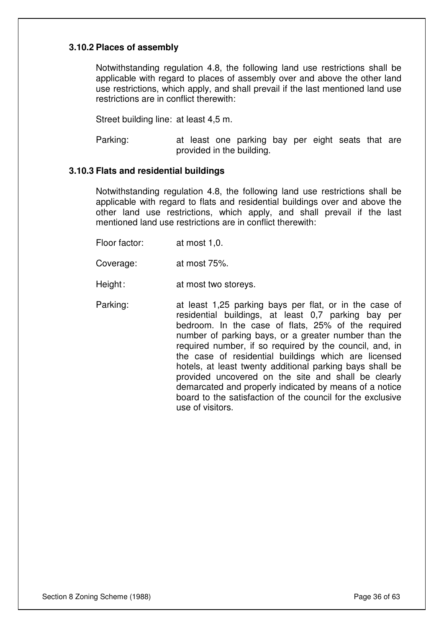#### **3.10.2 Places of assembly**

Notwithstanding regulation 4.8, the following land use restrictions shall be applicable with regard to places of assembly over and above the other land use restrictions, which apply, and shall prevail if the last mentioned land use restrictions are in conflict therewith:

Street building line: at least 4,5 m.

Parking: at least one parking bay per eight seats that are provided in the building.

#### **3.10.3 Flats and residential buildings**

Notwithstanding regulation 4.8, the following land use restrictions shall be applicable with regard to flats and residential buildings over and above the other land use restrictions, which apply, and shall prevail if the last mentioned land use restrictions are in conflict therewith:

- Floor factor: at most 1,0.
- Coverage: at most 75%.
- Height: at most two storeys.
- Parking: at least 1,25 parking bays per flat, or in the case of residential buildings, at least 0,7 parking bay per bedroom. In the case of flats, 25% of the required number of parking bays, or a greater number than the required number, if so required by the council, and, in the case of residential buildings which are licensed hotels, at least twenty additional parking bays shall be provided uncovered on the site and shall be clearly demarcated and properly indicated by means of a notice board to the satisfaction of the council for the exclusive use of visitors.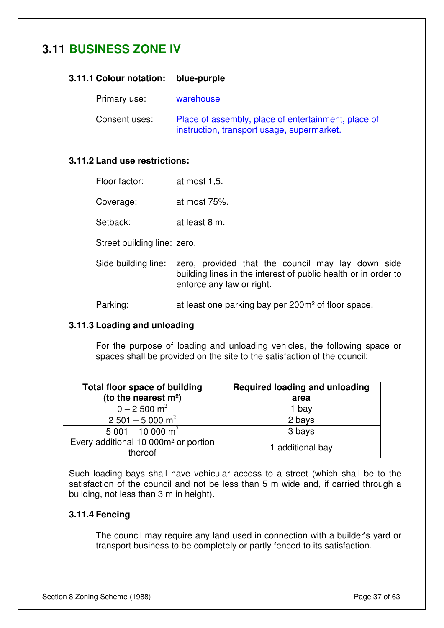# **3.11 BUSINESS ZONE IV**

#### **3.11.1 Colour notation: blue-purple**

Primary use: warehouse

Consent uses: Place of assembly, place of entertainment, place of instruction, transport usage, supermarket.

#### **3.11.2 Land use restrictions:**

| Floor factor: | at most 1,5. |
|---------------|--------------|
|---------------|--------------|

- Coverage: at most 75%.
- Setback: at least 8 m.

Street building line: zero.

- Side building line: zero, provided that the council may lay down side building lines in the interest of public health or in order to enforce any law or right.
- Parking: at least one parking bay per 200m<sup>2</sup> of floor space.

#### **3.11.3 Loading and unloading**

For the purpose of loading and unloading vehicles, the following space or spaces shall be provided on the site to the satisfaction of the council:

| <b>Total floor space of building</b>                        | <b>Required loading and unloading</b> |
|-------------------------------------------------------------|---------------------------------------|
| (to the nearest m <sup>2</sup> )                            | area                                  |
| $0 - 2500$ m <sup>2</sup>                                   | 1 bay                                 |
| $2501 - 5000$ m <sup>2</sup>                                | 2 bays                                |
| $5001 - 10000 m2$                                           | 3 bays                                |
| Every additional 10 000m <sup>2</sup> or portion<br>thereof | 1 additional bay                      |

Such loading bays shall have vehicular access to a street (which shall be to the satisfaction of the council and not be less than 5 m wide and, if carried through a building, not less than 3 m in height).

#### **3.11.4 Fencing**

The council may require any land used in connection with a builder's yard or transport business to be completely or partly fenced to its satisfaction.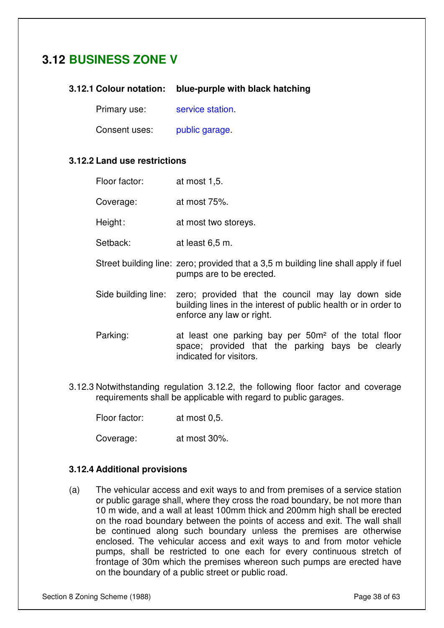# **3.12 BUSINESS ZONE V**

#### **3.12.1 Colour notation: blue-purple with black hatching**

Primary use: service station.

Consent uses: public garage.

#### **3.12.2 Land use restrictions**

| Floor factor: | at most 1,5. |
|---------------|--------------|
|               |              |

Coverage: at most 75%.

Height: at most two storeys.

- Setback: at least 6.5 m.
- Street building line: zero; provided that a 3,5 m building line shall apply if fuel pumps are to be erected.
- Side building line: zero; provided that the council may lay down side building lines in the interest of public health or in order to enforce any law or right.
- Parking: at least one parking bay per 50m<sup>2</sup> of the total floor space; provided that the parking bays be clearly indicated for visitors.
- 3.12.3 Notwithstanding regulation 3.12.2, the following floor factor and coverage requirements shall be applicable with regard to public garages.

Floor factor: at most 0,5.

Coverage: at most 30%.

#### **3.12.4 Additional provisions**

(a) The vehicular access and exit ways to and from premises of a service station or public garage shall, where they cross the road boundary, be not more than 10 m wide, and a wall at least 100mm thick and 200mm high shall be erected on the road boundary between the points of access and exit. The wall shall be continued along such boundary unless the premises are otherwise enclosed. The vehicular access and exit ways to and from motor vehicle pumps, shall be restricted to one each for every continuous stretch of frontage of 30m which the premises whereon such pumps are erected have on the boundary of a public street or public road.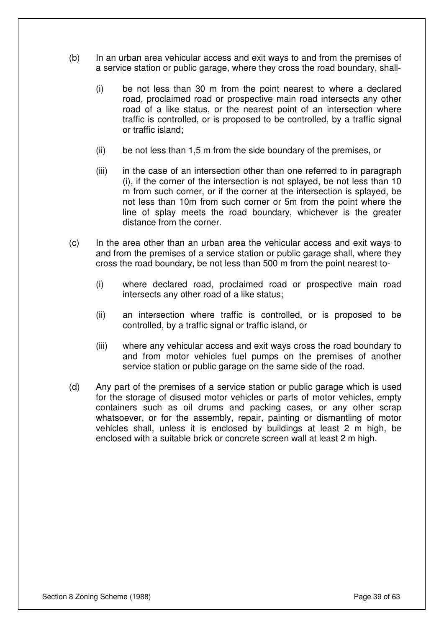- (b) In an urban area vehicular access and exit ways to and from the premises of a service station or public garage, where they cross the road boundary, shall-
	- (i) be not less than 30 m from the point nearest to where a declared road, proclaimed road or prospective main road intersects any other road of a like status, or the nearest point of an intersection where traffic is controlled, or is proposed to be controlled, by a traffic signal or traffic island;
	- (ii) be not less than 1,5 m from the side boundary of the premises, or
	- (iii) in the case of an intersection other than one referred to in paragraph (i), if the corner of the intersection is not splayed, be not less than 10 m from such corner, or if the corner at the intersection is splayed, be not less than 10m from such corner or 5m from the point where the line of splay meets the road boundary, whichever is the greater distance from the corner.
- (c) In the area other than an urban area the vehicular access and exit ways to and from the premises of a service station or public garage shall, where they cross the road boundary, be not less than 500 m from the point nearest to-
	- (i) where declared road, proclaimed road or prospective main road intersects any other road of a like status;
	- (ii) an intersection where traffic is controlled, or is proposed to be controlled, by a traffic signal or traffic island, or
	- (iii) where any vehicular access and exit ways cross the road boundary to and from motor vehicles fuel pumps on the premises of another service station or public garage on the same side of the road.
- (d) Any part of the premises of a service station or public garage which is used for the storage of disused motor vehicles or parts of motor vehicles, empty containers such as oil drums and packing cases, or any other scrap whatsoever, or for the assembly, repair, painting or dismantling of motor vehicles shall, unless it is enclosed by buildings at least 2 m high, be enclosed with a suitable brick or concrete screen wall at least 2 m high.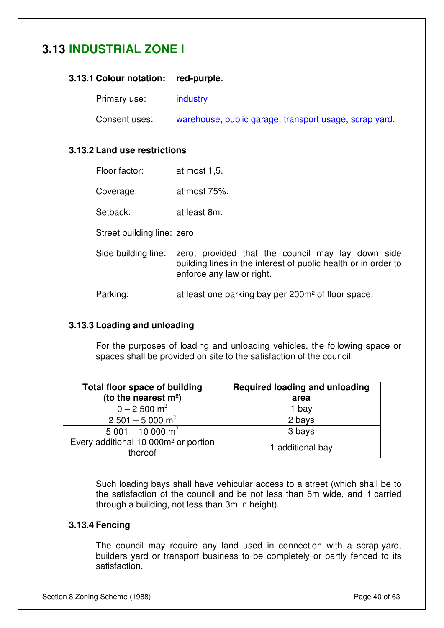# **3.13 INDUSTRIAL ZONE I**

#### **3.13.1 Colour notation: red-purple.**

Primary use: industry

Consent uses: warehouse, public garage, transport usage, scrap yard.

#### **3.13.2 Land use restrictions**

| Floor factor: | at most 1,5. |
|---------------|--------------|
|---------------|--------------|

- Coverage: at most 75%.
- Setback: at least 8m.

Street building line: zero

Side building line: zero; provided that the council may lay down side building lines in the interest of public health or in order to enforce any law or right.

Parking: at least one parking bay per 200m<sup>2</sup> of floor space.

#### **3.13.3 Loading and unloading**

For the purposes of loading and unloading vehicles, the following space or spaces shall be provided on site to the satisfaction of the council:

| <b>Total floor space of building</b><br>(to the nearest m <sup>2</sup> ) | <b>Required loading and unloading</b><br>area |
|--------------------------------------------------------------------------|-----------------------------------------------|
| $0 - 2500$ m <sup>2</sup>                                                | 1 bay                                         |
| $2501 - 5000$ m <sup>2</sup>                                             | 2 bays                                        |
| $5001 - 10000$ m <sup>2</sup>                                            | 3 bays                                        |
| Every additional 10 000m <sup>2</sup> or portion<br>thereof              | 1 additional bay                              |

Such loading bays shall have vehicular access to a street (which shall be to the satisfaction of the council and be not less than 5m wide, and if carried through a building, not less than 3m in height).

#### **3.13.4 Fencing**

The council may require any land used in connection with a scrap-yard, builders yard or transport business to be completely or partly fenced to its satisfaction.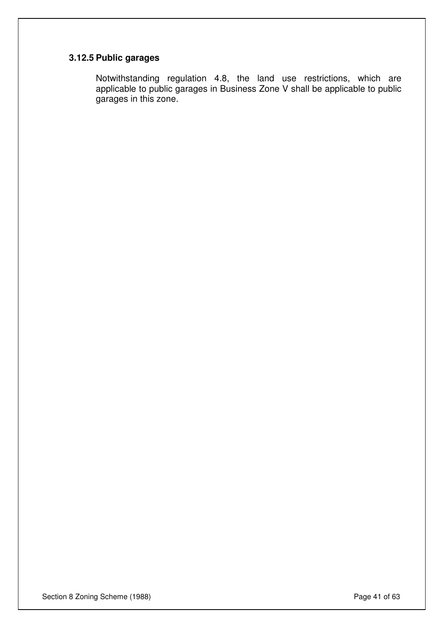#### **3.12.5 Public garages**

Notwithstanding regulation 4.8, the land use restrictions, which are applicable to public garages in Business Zone V shall be applicable to public garages in this zone.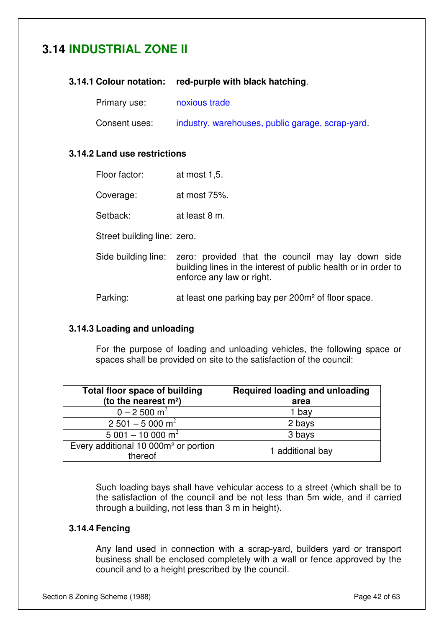# **3.14 INDUSTRIAL ZONE II**

#### **3.14.1 Colour notation: red-purple with black hatching**.

Primary use: noxious trade

Consent uses: industry, warehouses, public garage, scrap-yard.

#### **3.14.2 Land use restrictions**

| Floor factor: | at most 1,5. |
|---------------|--------------|
|---------------|--------------|

Coverage: at most 75%.

Setback: at least 8 m.

Street building line: zero.

Side building line: zero: provided that the council may lay down side building lines in the interest of public health or in order to enforce any law or right.

Parking: at least one parking bay per 200m<sup>2</sup> of floor space.

#### **3.14.3 Loading and unloading**

For the purpose of loading and unloading vehicles, the following space or spaces shall be provided on site to the satisfaction of the council:

| <b>Total floor space of building</b><br>(to the nearest m <sup>2</sup> ) | <b>Required loading and unloading</b><br>area |
|--------------------------------------------------------------------------|-----------------------------------------------|
| $0 - 2500$ m <sup>2</sup>                                                | 1 bay                                         |
| $2501 - 5000$ m <sup>2</sup>                                             | 2 bays                                        |
| $5001 - 10000 m2$                                                        | 3 bays                                        |
| Every additional 10 000m <sup>2</sup> or portion<br>thereof              | 1 additional bay                              |

Such loading bays shall have vehicular access to a street (which shall be to the satisfaction of the council and be not less than 5m wide, and if carried through a building, not less than 3 m in height).

#### **3.14.4 Fencing**

Any land used in connection with a scrap-yard, builders yard or transport business shall be enclosed completely with a wall or fence approved by the council and to a height prescribed by the council.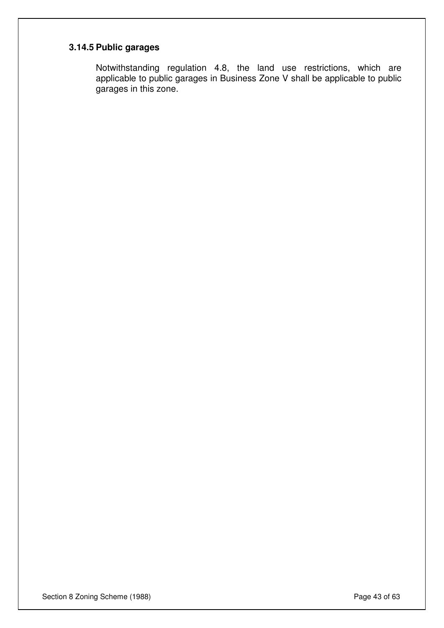# **3.14.5 Public garages**

Notwithstanding regulation 4.8, the land use restrictions, which are applicable to public garages in Business Zone V shall be applicable to public garages in this zone.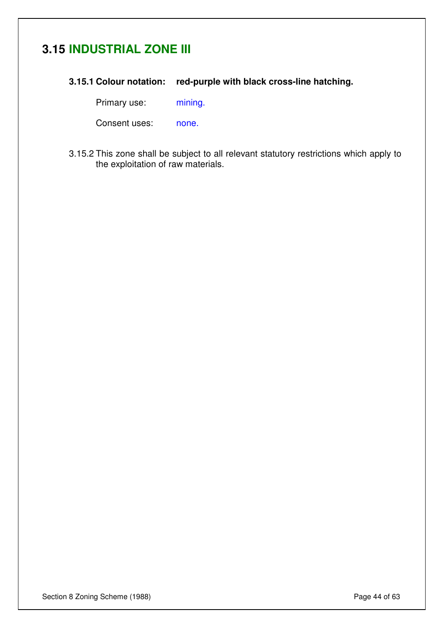# **3.15 INDUSTRIAL ZONE III**

**3.15.1 Colour notation: red-purple with black cross-line hatching.** 

Primary use: mining.

Consent uses: none.

3.15.2 This zone shall be subject to all relevant statutory restrictions which apply to the exploitation of raw materials.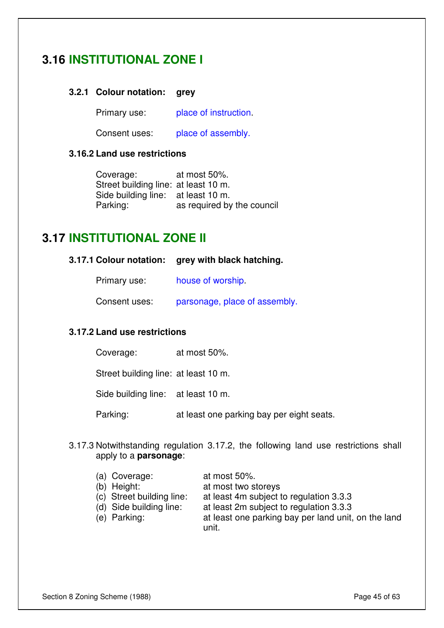# **3.16 INSTITUTIONAL ZONE I**

#### **3.2.1 Colour notation: grey**

Primary use: place of instruction.

Consent uses: place of assembly.

#### **3.16.2 Land use restrictions**

Coverage: at most 50%. Street building line: at least 10 m. Side building line: at least 10 m. Parking: as required by the council

### **3.17 INSTITUTIONAL ZONE II**

#### **3.17.1 Colour notation: grey with black hatching.**

Primary use: house of worship.

Consent uses: parsonage, place of assembly.

#### **3.17.2 Land use restrictions**

| Coverage: | at most 50%. |
|-----------|--------------|
|-----------|--------------|

Street building line: at least 10 m.

Side building line: at least 10 m.

Parking: at least one parking bay per eight seats.

3.17.3 Notwithstanding regulation 3.17.2, the following land use restrictions shall apply to a **parsonage**:

| (a) Coverage:             | at most $50\%$ .                                   |
|---------------------------|----------------------------------------------------|
| (b) Height:               | at most two storeys                                |
| (c) Street building line: | at least 4m subject to regulation 3.3.3            |
| (d) Side building line:   | at least 2m subject to regulation 3.3.3            |
| (e) Parking:              | at least one parking hay per land unit on the lang |

(e) Parking: at least one parking bay per land unit, on the land unit.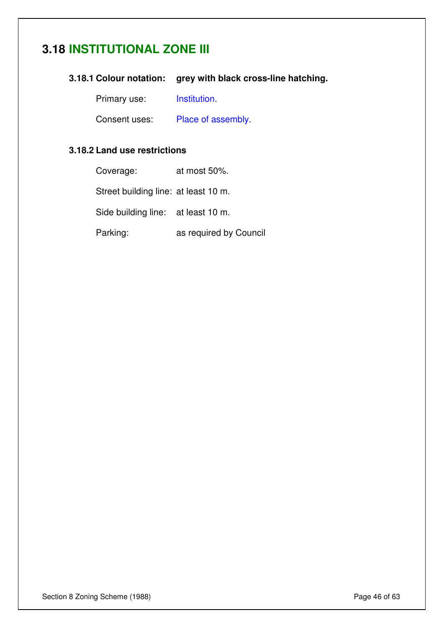# **3.18 INSTITUTIONAL ZONE III**

#### **3.18.1 Colour notation: grey with black cross-line hatching.**

Primary use: **Institution**.

Consent uses: Place of assembly.

#### **3.18.2 Land use restrictions**

| Coverage:                            | at most 50%.           |
|--------------------------------------|------------------------|
| Street building line: at least 10 m. |                        |
| Side building line: at least 10 m.   |                        |
| Parking:                             | as required by Council |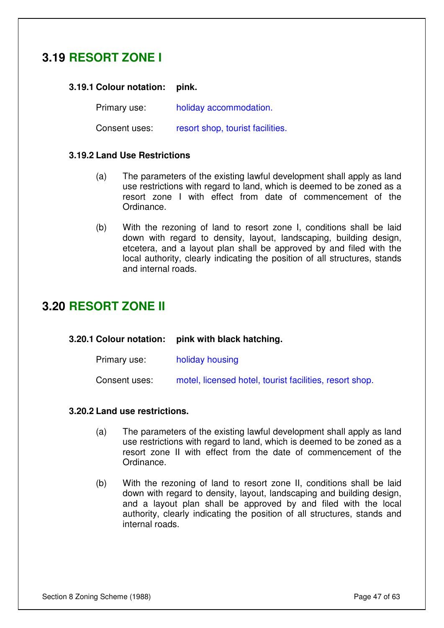# **3.19 RESORT ZONE I**

#### **3.19.1 Colour notation: pink.**

Primary use: holiday accommodation.

**3.20.1 Colour notation: pink with black hatching.** 

Consent uses: resort shop, tourist facilities.

#### **3.19.2 Land Use Restrictions**

- (a) The parameters of the existing lawful development shall apply as land use restrictions with regard to land, which is deemed to be zoned as a resort zone I with effect from date of commencement of the Ordinance.
- (b) With the rezoning of land to resort zone I, conditions shall be laid down with regard to density, layout, landscaping, building design, etcetera, and a layout plan shall be approved by and filed with the local authority, clearly indicating the position of all structures, stands and internal roads.

### **3.20 RESORT ZONE II**

| Primary use:  | holiday housing                                         |
|---------------|---------------------------------------------------------|
| Consent uses: | motel, licensed hotel, tourist facilities, resort shop. |

#### **3.20.2 Land use restrictions.**

- (a) The parameters of the existing lawful development shall apply as land use restrictions with regard to land, which is deemed to be zoned as a resort zone II with effect from the date of commencement of the Ordinance.
- (b) With the rezoning of land to resort zone II, conditions shall be laid down with regard to density, layout, landscaping and building design, and a layout plan shall be approved by and filed with the local authority, clearly indicating the position of all structures, stands and internal roads.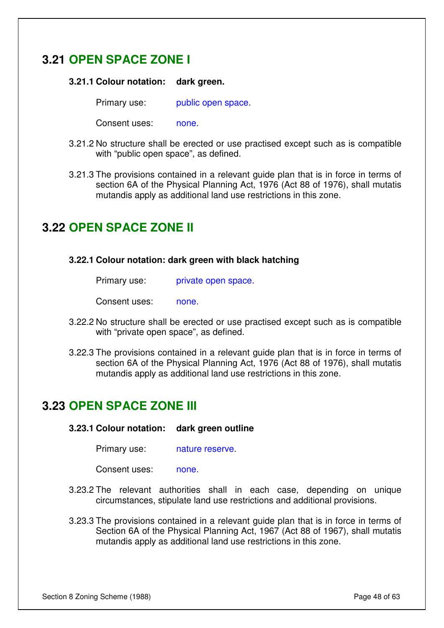# **3.21 OPEN SPACE ZONE I**

#### **3.21.1 Colour notation: dark green.**

Primary use: public open space.

Consent uses: none.

- 3.21.2 No structure shall be erected or use practised except such as is compatible with "public open space", as defined.
- 3.21.3 The provisions contained in a relevant guide plan that is in force in terms of section 6A of the Physical Planning Act, 1976 (Act 88 of 1976), shall mutatis mutandis apply as additional land use restrictions in this zone.

# **3.22 OPEN SPACE ZONE II**

#### **3.22.1 Colour notation: dark green with black hatching**

| private open space. |
|---------------------|
|                     |

Consent uses: none.

- 3.22.2 No structure shall be erected or use practised except such as is compatible with "private open space", as defined.
- 3.22.3 The provisions contained in a relevant guide plan that is in force in terms of section 6A of the Physical Planning Act, 1976 (Act 88 of 1976), shall mutatis mutandis apply as additional land use restrictions in this zone.

### **3.23 OPEN SPACE ZONE III**

**3.23.1 Colour notation: dark green outline** 

Primary use: nature reserve.

Consent uses: none.

- 3.23.2 The relevant authorities shall in each case, depending on unique circumstances, stipulate land use restrictions and additional provisions.
- 3.23.3 The provisions contained in a relevant guide plan that is in force in terms of Section 6A of the Physical Planning Act, 1967 (Act 88 of 1967), shall mutatis mutandis apply as additional land use restrictions in this zone.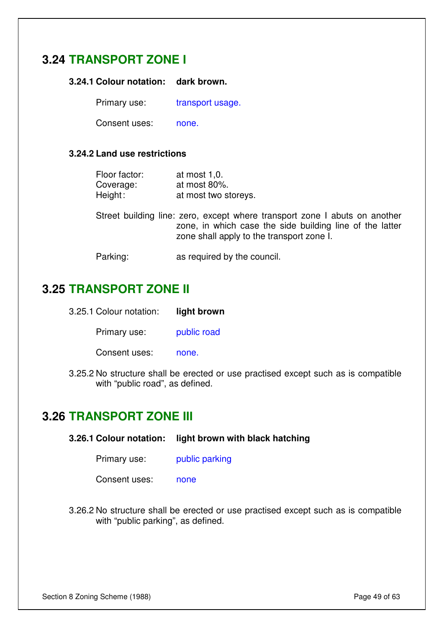# **3.24 TRANSPORT ZONE I**

**3.24.1 Colour notation: dark brown.** 

Primary use: transport usage.

Consent uses: none.

#### **3.24.2 Land use restrictions**

| Floor factor: | at most $1,0$ .      |
|---------------|----------------------|
| Coverage:     | at most 80%.         |
| Height:       | at most two storeys. |

Street building line: zero, except where transport zone I abuts on another zone, in which case the side building line of the latter zone shall apply to the transport zone I.

Parking: as required by the council.

# **3.25 TRANSPORT ZONE II**

| 3.25.1 Colour notation: | light brown |
|-------------------------|-------------|
|-------------------------|-------------|

Primary use: public road

Consent uses: none.

3.25.2 No structure shall be erected or use practised except such as is compatible with "public road", as defined.

### **3.26 TRANSPORT ZONE III**

- **3.26.1 Colour notation: light brown with black hatching** 
	- Primary use: public parking

Consent uses: none

3.26.2 No structure shall be erected or use practised except such as is compatible with "public parking", as defined.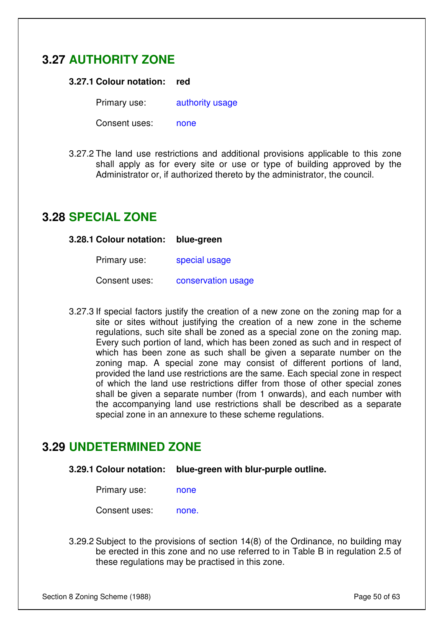# **3.27 AUTHORITY ZONE**

#### **3.27.1 Colour notation: red**

Primary use: authority usage

Consent uses: none

3.27.2 The land use restrictions and additional provisions applicable to this zone shall apply as for every site or use or type of building approved by the Administrator or, if authorized thereto by the administrator, the council.

### **3.28 SPECIAL ZONE**

**3.28.1 Colour notation: blue-green**

| Primary use: | special usage |
|--------------|---------------|
|--------------|---------------|

Consent uses: conservation usage

3.27.3 If special factors justify the creation of a new zone on the zoning map for a site or sites without justifying the creation of a new zone in the scheme regulations, such site shall be zoned as a special zone on the zoning map. Every such portion of land, which has been zoned as such and in respect of which has been zone as such shall be given a separate number on the zoning map. A special zone may consist of different portions of land, provided the land use restrictions are the same. Each special zone in respect of which the land use restrictions differ from those of other special zones shall be given a separate number (from 1 onwards), and each number with the accompanying land use restrictions shall be described as a separate special zone in an annexure to these scheme regulations.

### **3.29 UNDETERMINED ZONE**

**3.29.1 Colour notation: blue-green with blur-purple outline.**

| Primary use: | none |
|--------------|------|
|--------------|------|

Consent uses: none.

3.29.2 Subject to the provisions of section 14(8) of the Ordinance, no building may be erected in this zone and no use referred to in Table B in regulation 2.5 of these regulations may be practised in this zone.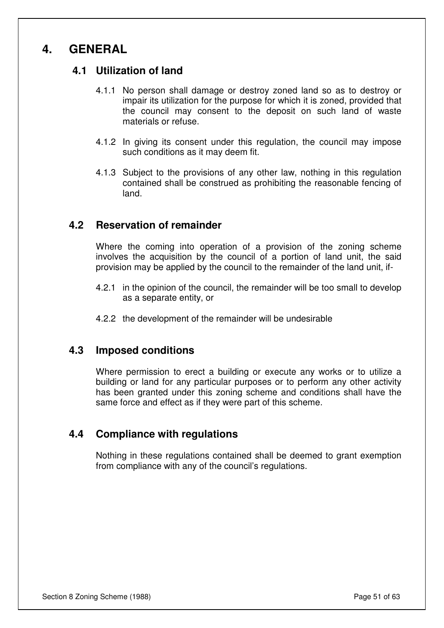# **4. GENERAL**

### **4.1 Utilization of land**

- 4.1.1 No person shall damage or destroy zoned land so as to destroy or impair its utilization for the purpose for which it is zoned, provided that the council may consent to the deposit on such land of waste materials or refuse.
- 4.1.2 In giving its consent under this regulation, the council may impose such conditions as it may deem fit.
- 4.1.3 Subject to the provisions of any other law, nothing in this regulation contained shall be construed as prohibiting the reasonable fencing of land.

### **4.2 Reservation of remainder**

Where the coming into operation of a provision of the zoning scheme involves the acquisition by the council of a portion of land unit, the said provision may be applied by the council to the remainder of the land unit, if-

- 4.2.1 in the opinion of the council, the remainder will be too small to develop as a separate entity, or
- 4.2.2 the development of the remainder will be undesirable

### **4.3 Imposed conditions**

Where permission to erect a building or execute any works or to utilize a building or land for any particular purposes or to perform any other activity has been granted under this zoning scheme and conditions shall have the same force and effect as if they were part of this scheme.

#### **4.4 Compliance with regulations**

Nothing in these regulations contained shall be deemed to grant exemption from compliance with any of the council's regulations.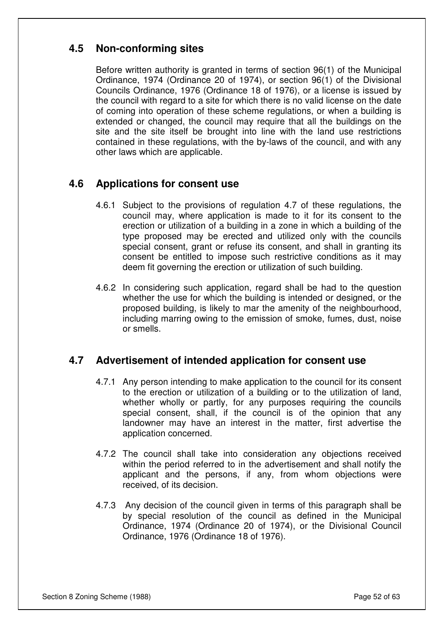### **4.5 Non-conforming sites**

Before written authority is granted in terms of section 96(1) of the Municipal Ordinance, 1974 (Ordinance 20 of 1974), or section 96(1) of the Divisional Councils Ordinance, 1976 (Ordinance 18 of 1976), or a license is issued by the council with regard to a site for which there is no valid license on the date of coming into operation of these scheme regulations, or when a building is extended or changed, the council may require that all the buildings on the site and the site itself be brought into line with the land use restrictions contained in these regulations, with the by-laws of the council, and with any other laws which are applicable.

### **4.6 Applications for consent use**

- 4.6.1 Subject to the provisions of regulation 4.7 of these regulations, the council may, where application is made to it for its consent to the erection or utilization of a building in a zone in which a building of the type proposed may be erected and utilized only with the councils special consent, grant or refuse its consent, and shall in granting its consent be entitled to impose such restrictive conditions as it may deem fit governing the erection or utilization of such building.
- 4.6.2 In considering such application, regard shall be had to the question whether the use for which the building is intended or designed, or the proposed building, is likely to mar the amenity of the neighbourhood, including marring owing to the emission of smoke, fumes, dust, noise or smells.

### **4.7 Advertisement of intended application for consent use**

- 4.7.1 Any person intending to make application to the council for its consent to the erection or utilization of a building or to the utilization of land, whether wholly or partly, for any purposes requiring the councils special consent, shall, if the council is of the opinion that any landowner may have an interest in the matter, first advertise the application concerned.
- 4.7.2 The council shall take into consideration any objections received within the period referred to in the advertisement and shall notify the applicant and the persons, if any, from whom objections were received, of its decision.
- 4.7.3 Any decision of the council given in terms of this paragraph shall be by special resolution of the council as defined in the Municipal Ordinance, 1974 (Ordinance 20 of 1974), or the Divisional Council Ordinance, 1976 (Ordinance 18 of 1976).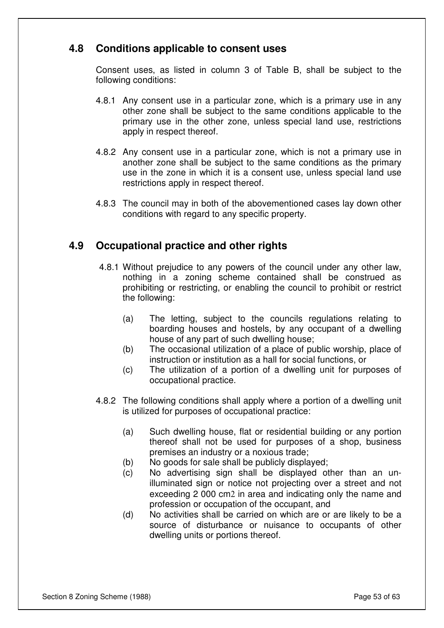### **4.8 Conditions applicable to consent uses**

Consent uses, as listed in column 3 of Table B, shall be subject to the following conditions:

- 4.8.1 Any consent use in a particular zone, which is a primary use in any other zone shall be subject to the same conditions applicable to the primary use in the other zone, unless special land use, restrictions apply in respect thereof.
- 4.8.2 Any consent use in a particular zone, which is not a primary use in another zone shall be subject to the same conditions as the primary use in the zone in which it is a consent use, unless special land use restrictions apply in respect thereof.
- 4.8.3 The council may in both of the abovementioned cases lay down other conditions with regard to any specific property.

### **4.9 Occupational practice and other rights**

- 4.8.1 Without prejudice to any powers of the council under any other law, nothing in a zoning scheme contained shall be construed as prohibiting or restricting, or enabling the council to prohibit or restrict the following:
	- (a) The letting, subject to the councils regulations relating to boarding houses and hostels, by any occupant of a dwelling house of any part of such dwelling house;
	- (b) The occasional utilization of a place of public worship, place of instruction or institution as a hall for social functions, or
	- (c) The utilization of a portion of a dwelling unit for purposes of occupational practice.
- 4.8.2 The following conditions shall apply where a portion of a dwelling unit is utilized for purposes of occupational practice:
	- (a) Such dwelling house, flat or residential building or any portion thereof shall not be used for purposes of a shop, business premises an industry or a noxious trade;
	- (b) No goods for sale shall be publicly displayed;
	- (c) No advertising sign shall be displayed other than an unilluminated sign or notice not projecting over a street and not exceeding 2 000 cm2 in area and indicating only the name and profession or occupation of the occupant, and
	- (d) No activities shall be carried on which are or are likely to be a source of disturbance or nuisance to occupants of other dwelling units or portions thereof.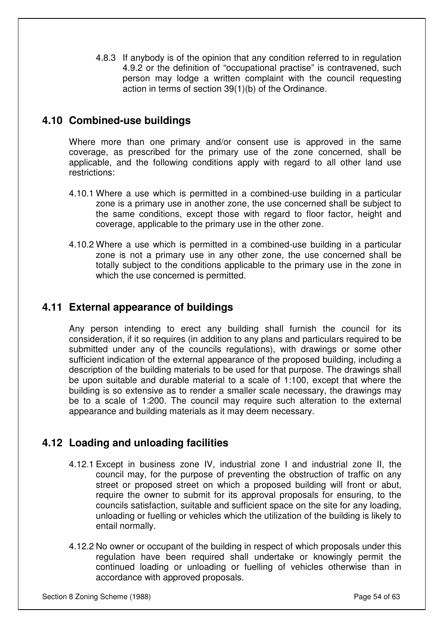4.8.3 If anybody is of the opinion that any condition referred to in regulation 4.9.2 or the definition of "occupational practise" is contravened, such person may lodge a written complaint with the council requesting action in terms of section 39(1)(b) of the Ordinance.

### **4.10 Combined-use buildings**

Where more than one primary and/or consent use is approved in the same coverage, as prescribed for the primary use of the zone concerned, shall be applicable, and the following conditions apply with regard to all other land use restrictions:

- 4.10.1 Where a use which is permitted in a combined-use building in a particular zone is a primary use in another zone, the use concerned shall be subject to the same conditions, except those with regard to floor factor, height and coverage, applicable to the primary use in the other zone.
- 4.10.2 Where a use which is permitted in a combined-use building in a particular zone is not a primary use in any other zone, the use concerned shall be totally subject to the conditions applicable to the primary use in the zone in which the use concerned is permitted.

### **4.11 External appearance of buildings**

Any person intending to erect any building shall furnish the council for its consideration, if it so requires (in addition to any plans and particulars required to be submitted under any of the councils regulations), with drawings or some other sufficient indication of the external appearance of the proposed building, including a description of the building materials to be used for that purpose. The drawings shall be upon suitable and durable material to a scale of 1:100, except that where the building is so extensive as to render a smaller scale necessary, the drawings may be to a scale of 1:200. The council may require such alteration to the external appearance and building materials as it may deem necessary.

### **4.12 Loading and unloading facilities**

- 4.12.1 Except in business zone IV, industrial zone I and industrial zone II, the council may, for the purpose of preventing the obstruction of traffic on any street or proposed street on which a proposed building will front or abut, require the owner to submit for its approval proposals for ensuring, to the councils satisfaction, suitable and sufficient space on the site for any loading, unloading or fuelling or vehicles which the utilization of the building is likely to entail normally.
- 4.12.2 No owner or occupant of the building in respect of which proposals under this regulation have been required shall undertake or knowingly permit the continued loading or unloading or fuelling of vehicles otherwise than in accordance with approved proposals.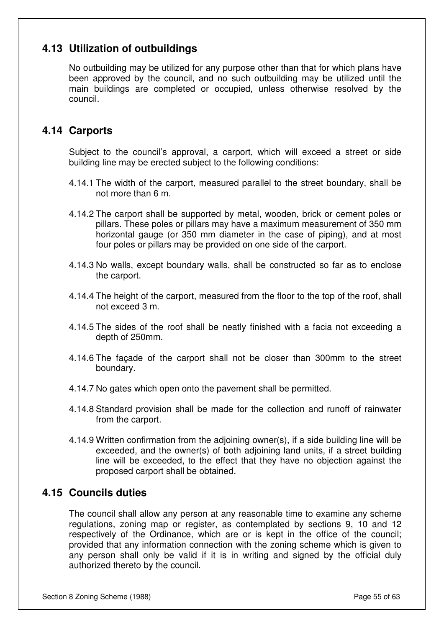### **4.13 Utilization of outbuildings**

No outbuilding may be utilized for any purpose other than that for which plans have been approved by the council, and no such outbuilding may be utilized until the main buildings are completed or occupied, unless otherwise resolved by the council.

### **4.14 Carports**

Subject to the council's approval, a carport, which will exceed a street or side building line may be erected subject to the following conditions:

- 4.14.1 The width of the carport, measured parallel to the street boundary, shall be not more than 6 m.
- 4.14.2 The carport shall be supported by metal, wooden, brick or cement poles or pillars. These poles or pillars may have a maximum measurement of 350 mm horizontal gauge (or 350 mm diameter in the case of piping), and at most four poles or pillars may be provided on one side of the carport.
- 4.14.3 No walls, except boundary walls, shall be constructed so far as to enclose the carport.
- 4.14.4 The height of the carport, measured from the floor to the top of the roof, shall not exceed 3 m.
- 4.14.5 The sides of the roof shall be neatly finished with a facia not exceeding a depth of 250mm.
- 4.14.6 The façade of the carport shall not be closer than 300mm to the street boundary.
- 4.14.7 No gates which open onto the pavement shall be permitted.
- 4.14.8 Standard provision shall be made for the collection and runoff of rainwater from the carport.
- 4.14.9 Written confirmation from the adjoining owner(s), if a side building line will be exceeded, and the owner(s) of both adjoining land units, if a street building line will be exceeded, to the effect that they have no objection against the proposed carport shall be obtained.

### **4.15 Councils duties**

The council shall allow any person at any reasonable time to examine any scheme regulations, zoning map or register, as contemplated by sections 9, 10 and 12 respectively of the Ordinance, which are or is kept in the office of the council; provided that any information connection with the zoning scheme which is given to any person shall only be valid if it is in writing and signed by the official duly authorized thereto by the council.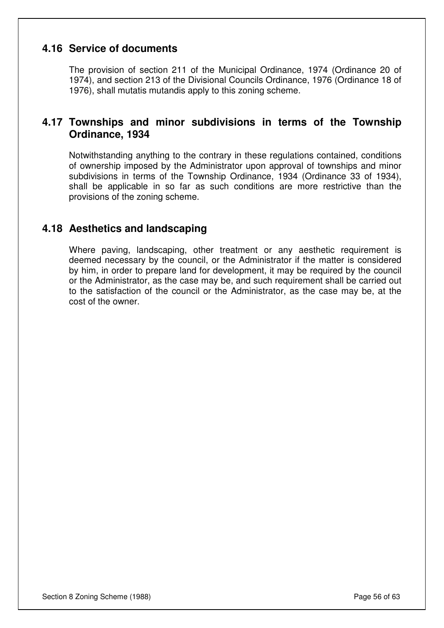### **4.16 Service of documents**

The provision of section 211 of the Municipal Ordinance, 1974 (Ordinance 20 of 1974), and section 213 of the Divisional Councils Ordinance, 1976 (Ordinance 18 of 1976), shall mutatis mutandis apply to this zoning scheme.

### **4.17 Townships and minor subdivisions in terms of the Township Ordinance, 1934**

Notwithstanding anything to the contrary in these regulations contained, conditions of ownership imposed by the Administrator upon approval of townships and minor subdivisions in terms of the Township Ordinance, 1934 (Ordinance 33 of 1934), shall be applicable in so far as such conditions are more restrictive than the provisions of the zoning scheme.

### **4.18 Aesthetics and landscaping**

Where paving, landscaping, other treatment or any aesthetic requirement is deemed necessary by the council, or the Administrator if the matter is considered by him, in order to prepare land for development, it may be required by the council or the Administrator, as the case may be, and such requirement shall be carried out to the satisfaction of the council or the Administrator, as the case may be, at the cost of the owner.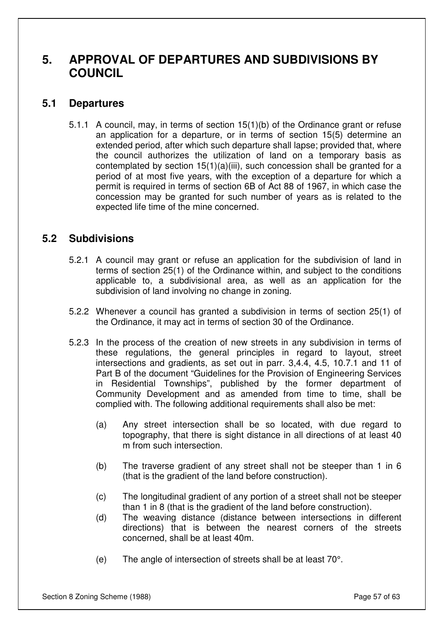# **5. APPROVAL OF DEPARTURES AND SUBDIVISIONS BY COUNCIL**

### **5.1 Departures**

5.1.1 A council, may, in terms of section 15(1)(b) of the Ordinance grant or refuse an application for a departure, or in terms of section 15(5) determine an extended period, after which such departure shall lapse; provided that, where the council authorizes the utilization of land on a temporary basis as contemplated by section 15(1)(a)(iii), such concession shall be granted for a period of at most five years, with the exception of a departure for which a permit is required in terms of section 6B of Act 88 of 1967, in which case the concession may be granted for such number of years as is related to the expected life time of the mine concerned.

### **5.2 Subdivisions**

- 5.2.1 A council may grant or refuse an application for the subdivision of land in terms of section 25(1) of the Ordinance within, and subject to the conditions applicable to, a subdivisional area, as well as an application for the subdivision of land involving no change in zoning.
- 5.2.2 Whenever a council has granted a subdivision in terms of section 25(1) of the Ordinance, it may act in terms of section 30 of the Ordinance.
- 5.2.3 In the process of the creation of new streets in any subdivision in terms of these regulations, the general principles in regard to layout, street intersections and gradients, as set out in parr. 3,4.4, 4.5, 10.7.1 and 11 of Part B of the document "Guidelines for the Provision of Engineering Services in Residential Townships", published by the former department of Community Development and as amended from time to time, shall be complied with. The following additional requirements shall also be met:
	- (a) Any street intersection shall be so located, with due regard to topography, that there is sight distance in all directions of at least 40 m from such intersection.
	- (b) The traverse gradient of any street shall not be steeper than 1 in 6 (that is the gradient of the land before construction).
	- (c) The longitudinal gradient of any portion of a street shall not be steeper than 1 in 8 (that is the gradient of the land before construction).
	- (d) The weaving distance (distance between intersections in different directions) that is between the nearest corners of the streets concerned, shall be at least 40m.
	- (e) The angle of intersection of streets shall be at least 70°.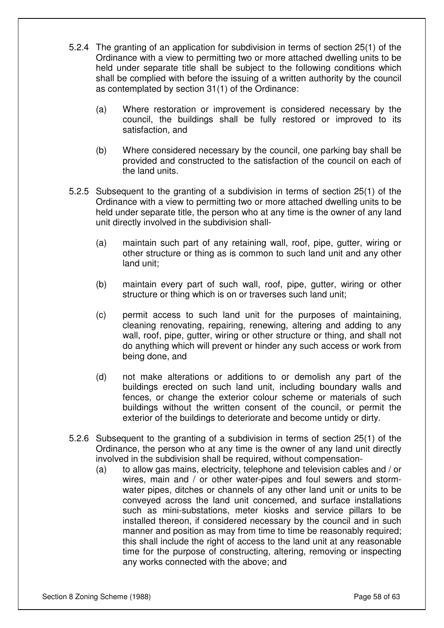- 5.2.4 The granting of an application for subdivision in terms of section 25(1) of the Ordinance with a view to permitting two or more attached dwelling units to be held under separate title shall be subject to the following conditions which shall be complied with before the issuing of a written authority by the council as contemplated by section 31(1) of the Ordinance:
	- (a) Where restoration or improvement is considered necessary by the council, the buildings shall be fully restored or improved to its satisfaction, and
	- (b) Where considered necessary by the council, one parking bay shall be provided and constructed to the satisfaction of the council on each of the land units.
- 5.2.5 Subsequent to the granting of a subdivision in terms of section 25(1) of the Ordinance with a view to permitting two or more attached dwelling units to be held under separate title, the person who at any time is the owner of any land unit directly involved in the subdivision shall-
	- (a) maintain such part of any retaining wall, roof, pipe, gutter, wiring or other structure or thing as is common to such land unit and any other land unit;
	- (b) maintain every part of such wall, roof, pipe, gutter, wiring or other structure or thing which is on or traverses such land unit;
	- (c) permit access to such land unit for the purposes of maintaining, cleaning renovating, repairing, renewing, altering and adding to any wall, roof, pipe, gutter, wiring or other structure or thing, and shall not do anything which will prevent or hinder any such access or work from being done, and
	- (d) not make alterations or additions to or demolish any part of the buildings erected on such land unit, including boundary walls and fences, or change the exterior colour scheme or materials of such buildings without the written consent of the council, or permit the exterior of the buildings to deteriorate and become untidy or dirty.
- 5.2.6 Subsequent to the granting of a subdivision in terms of section 25(1) of the Ordinance, the person who at any time is the owner of any land unit directly involved in the subdivision shall be required, without compensation-
	- (a) to allow gas mains, electricity, telephone and television cables and / or wires, main and / or other water-pipes and foul sewers and stormwater pipes, ditches or channels of any other land unit or units to be conveyed across the land unit concerned, and surface installations such as mini-substations, meter kiosks and service pillars to be installed thereon, if considered necessary by the council and in such manner and position as may from time to time be reasonably required; this shall include the right of access to the land unit at any reasonable time for the purpose of constructing, altering, removing or inspecting any works connected with the above; and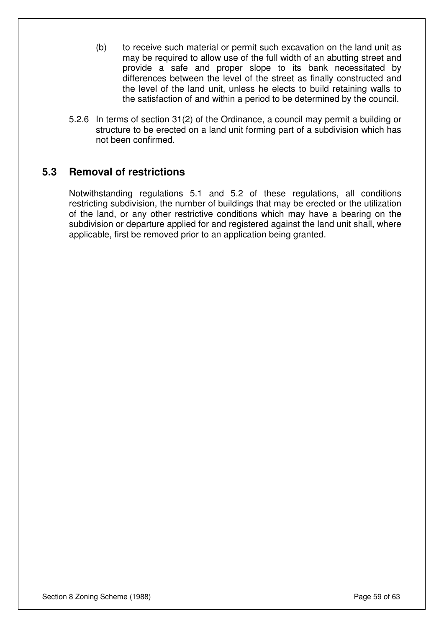- (b) to receive such material or permit such excavation on the land unit as may be required to allow use of the full width of an abutting street and provide a safe and proper slope to its bank necessitated by differences between the level of the street as finally constructed and the level of the land unit, unless he elects to build retaining walls to the satisfaction of and within a period to be determined by the council.
- 5.2.6 In terms of section 31(2) of the Ordinance, a council may permit a building or structure to be erected on a land unit forming part of a subdivision which has not been confirmed.

### **5.3 Removal of restrictions**

Notwithstanding regulations 5.1 and 5.2 of these regulations, all conditions restricting subdivision, the number of buildings that may be erected or the utilization of the land, or any other restrictive conditions which may have a bearing on the subdivision or departure applied for and registered against the land unit shall, where applicable, first be removed prior to an application being granted.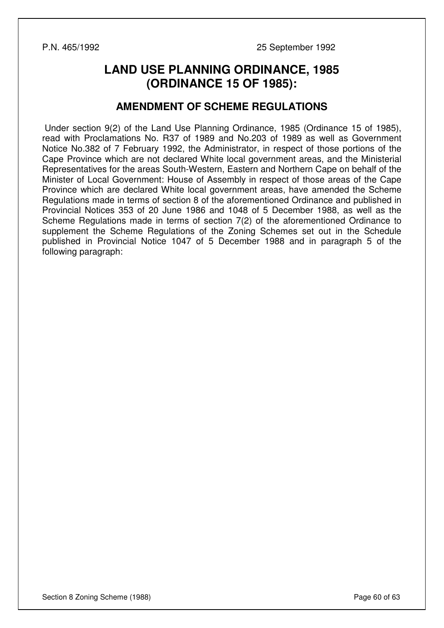P.N. 465/1992 25 September 1992

# **LAND USE PLANNING ORDINANCE, 1985 (ORDINANCE 15 OF 1985):**

### **AMENDMENT OF SCHEME REGULATIONS**

 Under section 9(2) of the Land Use Planning Ordinance, 1985 (Ordinance 15 of 1985), read with Proclamations No. R37 of 1989 and No.203 of 1989 as well as Government Notice No.382 of 7 February 1992, the Administrator, in respect of those portions of the Cape Province which are not declared White local government areas, and the Ministerial Representatives for the areas South-Western, Eastern and Northern Cape on behalf of the Minister of Local Government: House of Assembly in respect of those areas of the Cape Province which are declared White local government areas, have amended the Scheme Regulations made in terms of section 8 of the aforementioned Ordinance and published in Provincial Notices 353 of 20 June 1986 and 1048 of 5 December 1988, as well as the Scheme Regulations made in terms of section 7(2) of the aforementioned Ordinance to supplement the Scheme Regulations of the Zoning Schemes set out in the Schedule published in Provincial Notice 1047 of 5 December 1988 and in paragraph 5 of the following paragraph: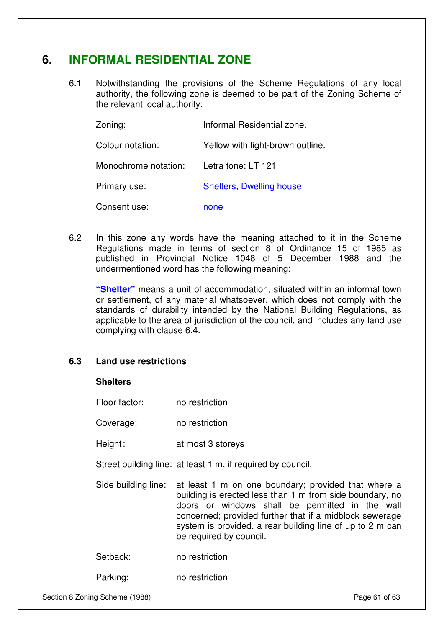# **6. INFORMAL RESIDENTIAL ZONE**

6.1 Notwithstanding the provisions of the Scheme Regulations of any local authority, the following zone is deemed to be part of the Zoning Scheme of the relevant local authority:

| Zoning:              | Informal Residential zone.       |
|----------------------|----------------------------------|
| Colour notation:     | Yellow with light-brown outline. |
| Monochrome notation: | Letra tone: LT 121               |
| Primary use:         | <b>Shelters, Dwelling house</b>  |
| Consent use:         | none                             |

6.2 In this zone any words have the meaning attached to it in the Scheme Regulations made in terms of section 8 of Ordinance 15 of 1985 as published in Provincial Notice 1048 of 5 December 1988 and the undermentioned word has the following meaning:

**"Shelter"** means a unit of accommodation, situated within an informal town or settlement, of any material whatsoever, which does not comply with the standards of durability intended by the National Building Regulations, as applicable to the area of jurisdiction of the council, and includes any land use complying with clause 6.4.

#### **6.3 Land use restrictions**

#### **Shelters**

| no restriction |
|----------------|
|                |

Coverage: no restriction

Height: at most 3 storeys

Street building line: at least 1 m, if required by council.

Side building line: at least 1 m on one boundary; provided that where a building is erected less than 1 m from side boundary, no doors or windows shall be permitted in the wall concerned; provided further that if a midblock sewerage system is provided, a rear building line of up to 2 m can be required by council.

Setback: no restriction

Parking: no restriction

Section 8 Zoning Scheme (1988) **Page 61** of 63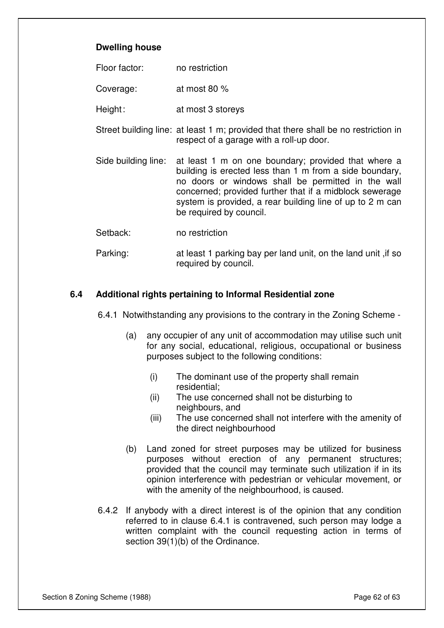#### **Dwelling house**

| Floor factor: | no restriction |
|---------------|----------------|
|---------------|----------------|

Coverage: at most 80 %

Height: at most 3 storeys

- Street building line: at least 1 m; provided that there shall be no restriction in respect of a garage with a roll-up door.
- Side building line: at least 1 m on one boundary; provided that where a building is erected less than 1 m from a side boundary, no doors or windows shall be permitted in the wall concerned; provided further that if a midblock sewerage system is provided, a rear building line of up to 2 m can be required by council.
- Setback: no restriction
- Parking: at least 1 parking bay per land unit, on the land unit ,if so required by council.

#### **6.4 Additional rights pertaining to Informal Residential zone**

6.4.1 Notwithstanding any provisions to the contrary in the Zoning Scheme -

- (a) any occupier of any unit of accommodation may utilise such unit for any social, educational, religious, occupational or business purposes subject to the following conditions:
	- (i) The dominant use of the property shall remain residential;
	- (ii) The use concerned shall not be disturbing to neighbours, and
	- (iii) The use concerned shall not interfere with the amenity of the direct neighbourhood
- (b) Land zoned for street purposes may be utilized for business purposes without erection of any permanent structures; provided that the council may terminate such utilization if in its opinion interference with pedestrian or vehicular movement, or with the amenity of the neighbourhood, is caused.
- 6.4.2 If anybody with a direct interest is of the opinion that any condition referred to in clause 6.4.1 is contravened, such person may lodge a written complaint with the council requesting action in terms of section 39(1)(b) of the Ordinance.